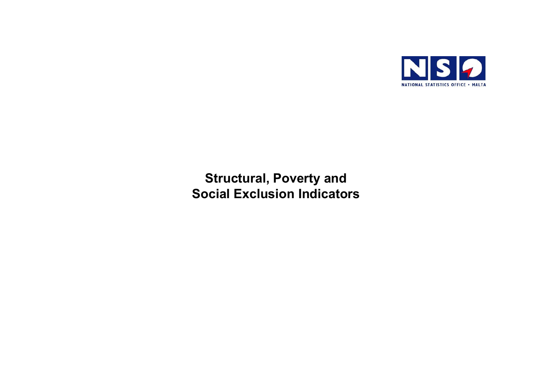

# **Structural, Poverty and Social Exclusion Indicators**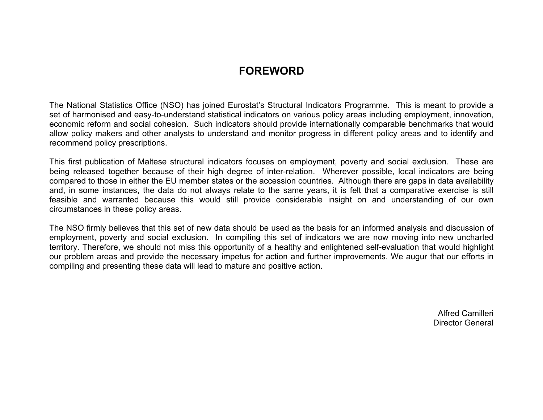# **FOREWORD**

The National Statistics Office (NSO) has joined Eurostat's Structural Indicators Programme. This is meant to provide a set of harmonised and easy-to-understand statistical indicators on various policy areas including employment, innovation, economic reform and social cohesion. Such indicators should provide internationally comparable benchmarks that would allow policy makers and other analysts to understand and monitor progress in different policy areas and to identify and recommend policy prescriptions.

This first publication of Maltese structural indicators focuses on employment, poverty and social exclusion. These are being released together because of their high degree of inter-relation. Wherever possible, local indicators are being compared to those in either the EU member states or the accession countries. Although there are gaps in data availability and, in some instances, the data do not always relate to the same years, it is felt that a comparative exercise is still feasible and warranted because this would still provide considerable insight on and understanding of our own circumstances in these policy areas.

The NSO firmly believes that this set of new data should be used as the basis for an informed analysis and discussion of employment, poverty and social exclusion. In compiling this set of indicators we are now moving into new uncharted territory. Therefore, we should not miss this opportunity of a healthy and enlightened self-evaluation that would highlight our problem areas and provide the necessary impetus for action and further improvements. We augur that our efforts in compiling and presenting these data will lead to mature and positive action.

> Alfred Camilleri Director General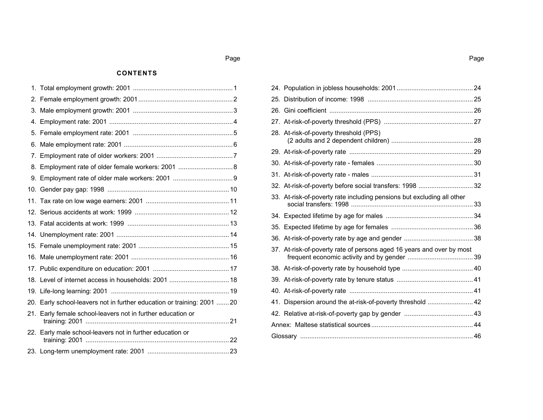## Page

#### **CONTENTS**

| 18. Level of internet access in households: 2001  18                   |  |
|------------------------------------------------------------------------|--|
|                                                                        |  |
| 20. Early school-leavers not in further education or training: 2001 20 |  |
| 21. Early female school-leavers not in further education or            |  |
| 22. Early male school-leavers not in further education or              |  |
|                                                                        |  |

| 25. |                                                                        |  |
|-----|------------------------------------------------------------------------|--|
| 26. |                                                                        |  |
|     |                                                                        |  |
|     | 28. At-risk-of-poverty threshold (PPS)                                 |  |
|     |                                                                        |  |
|     |                                                                        |  |
|     |                                                                        |  |
|     | 32. At-risk-of-poverty before social transfers: 1998 32                |  |
|     | 33. At-risk-of-poverty rate including pensions but excluding all other |  |
|     |                                                                        |  |
|     |                                                                        |  |
|     |                                                                        |  |
|     | 37. At-risk-of-poverty rate of persons aged 16 years and over by most  |  |
|     |                                                                        |  |
|     |                                                                        |  |
|     |                                                                        |  |
| 41. | Dispersion around the at-risk-of-poverty threshold  42                 |  |
|     |                                                                        |  |
|     |                                                                        |  |
|     |                                                                        |  |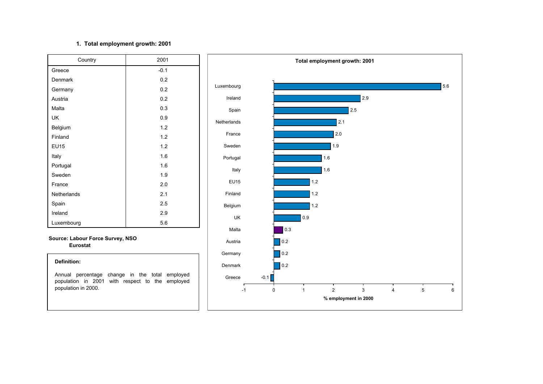## **1. Total employment growth: 2001**

| Country            | 2001   |
|--------------------|--------|
| Greece             | $-0.1$ |
| Denmark            | 0.2    |
| Germany            | 0.2    |
| Austria            | 0.2    |
| Malta              | 0.3    |
| UK                 | 0.9    |
| Belgium            | 1.2    |
| Finland            | 1.2    |
| <b>EU15</b>        | 1.2    |
| Italy              | 1.6    |
| Portugal           | 1.6    |
| Sweden             | 1.9    |
| France             | 2.0    |
| <b>Netherlands</b> | 2.1    |
| Spain              | 2.5    |
| Ireland            | 2.9    |
| Luxembourg         | 5.6    |

**Source: Labour Force Survey, NSO Eurostat**

#### **Definition:**

Annual percentage change in the total employed population in 2001 with respect to the employed population in 2000.

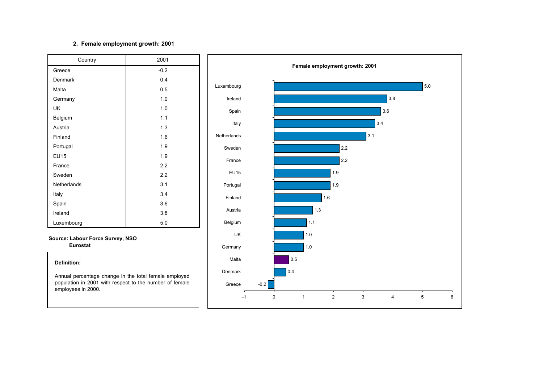## **2. Female employment growth: 2001**

| Country     | 2001   |
|-------------|--------|
| Greece      | $-0.2$ |
| Denmark     | 0.4    |
| Malta       | 0.5    |
| Germany     | 1.0    |
| UK          | 1.0    |
| Belgium     | 1.1    |
| Austria     | 1.3    |
| Finland     | 1.6    |
| Portugal    | 1.9    |
| <b>EU15</b> | 1.9    |
| France      | 2.2    |
| Sweden      | 2.2    |
| Netherlands | 3.1    |
| Italy       | 3.4    |
| Spain       | 3.6    |
| Ireland     | 3.8    |
| Luxembourg  | 5.0    |

#### **Source: Labour Force Survey, NSO Eurostat**

#### **Definition:**

Annual percentage change in the total female employed population in 2001 with respect to the number of female employees in 2000.

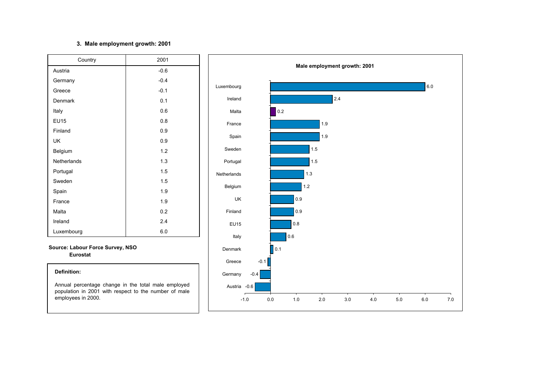## **3. Male employment growth: 2001**

| Country     | 2001   |
|-------------|--------|
| Austria     | $-0.6$ |
| Germany     | $-0.4$ |
| Greece      | $-0.1$ |
| Denmark     | 0.1    |
| Italy       | 0.6    |
| <b>EU15</b> | 0.8    |
| Finland     | 0.9    |
| <b>UK</b>   | 0.9    |
| Belgium     | 1.2    |
| Netherlands | 1.3    |
| Portugal    | 1.5    |
| Sweden      | 1.5    |
| Spain       | 1.9    |
| France      | 1.9    |
| Malta       | 0.2    |
| Ireland     | 2.4    |
| Luxembourg  | 6.0    |

**Source: Labour Force Survey, NSO Eurostat**

#### **Definition:**

Annual percentage change in the total male employed population in 2001 with respect to the number of male employees in 2000.

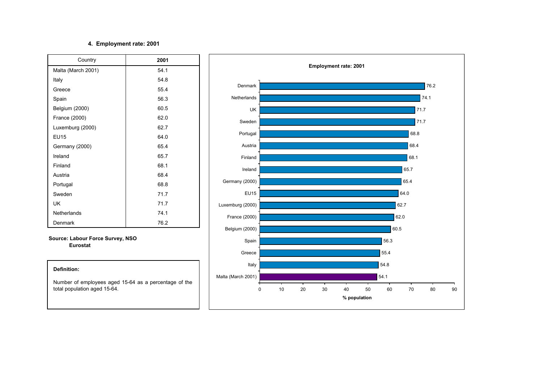### **4. Employment rate: 2001**

| Country            | 2001 |
|--------------------|------|
| Malta (March 2001) | 54.1 |
| Italy              | 54.8 |
| Greece             | 55.4 |
| Spain              | 56.3 |
| Belgium (2000)     | 60.5 |
| France (2000)      | 62.0 |
| Luxemburg (2000)   | 62.7 |
| <b>EU15</b>        | 64.0 |
| Germany (2000)     | 65.4 |
| Ireland            | 65.7 |
| Finland            | 68.1 |
| Austria            | 68.4 |
| Portugal           | 68.8 |
| Sweden             | 71.7 |
| UK                 | 71.7 |
| Netherlands        | 74.1 |
| Denmark            | 76.2 |

**Source: Labour Force Survey, NSO Eurostat**



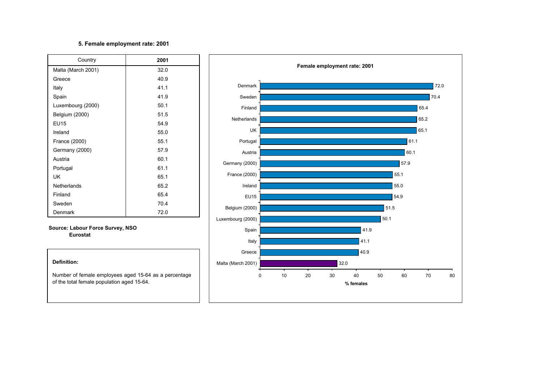## **5. Female employment rate: 2001**

| Country            | 2001 |
|--------------------|------|
| Malta (March 2001) | 32.0 |
| Greece             | 40.9 |
| Italy              | 41.1 |
| Spain              | 41.9 |
| Luxembourg (2000)  | 50.1 |
| Belgium (2000)     | 51.5 |
| <b>EU15</b>        | 54.9 |
| Ireland            | 55.0 |
| France (2000)      | 55.1 |
| Germany (2000)     | 57.9 |
| Austria            | 60.1 |
| Portugal           | 61.1 |
| UK                 | 65.1 |
| <b>Netherlands</b> | 65.2 |
| Finland            | 65.4 |
| Sweden             | 70.4 |
| Denmark            | 72.0 |

**Source: Labour Force Survey, NSO Eurostat**



Number of female employees aged 15-64 as <sup>a</sup> percentage of the total female population aged 15-64.

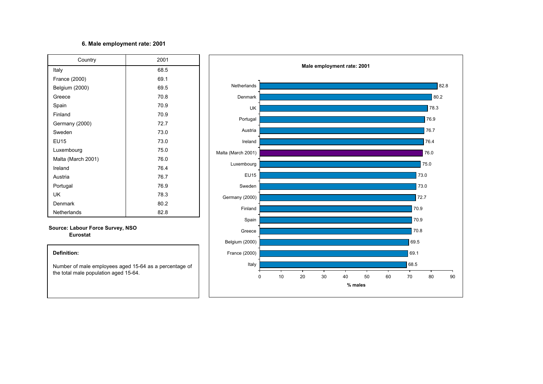## **6. Male employment rate: 2001**

| Country            | 2001 |
|--------------------|------|
| Italy              | 68.5 |
| France (2000)      | 69.1 |
| Belgium (2000)     | 69.5 |
| Greece             | 70.8 |
| Spain              | 70.9 |
| Finland            | 70.9 |
| Germany (2000)     | 72.7 |
| Sweden             | 73.0 |
| <b>EU15</b>        | 73.0 |
| Luxembourg         | 75.0 |
| Malta (March 2001) | 76.0 |
| Ireland            | 76.4 |
| Austria            | 76.7 |
| Portugal           | 76.9 |
| UK                 | 78.3 |
| Denmark            | 80.2 |
| Netherlands        | 82.8 |

## **Source: Labour Force Survey, NSO Eurostat**

#### **Definition:**

Number of male employees aged 15-64 as <sup>a</sup> percentage of the total male population aged 15-64.

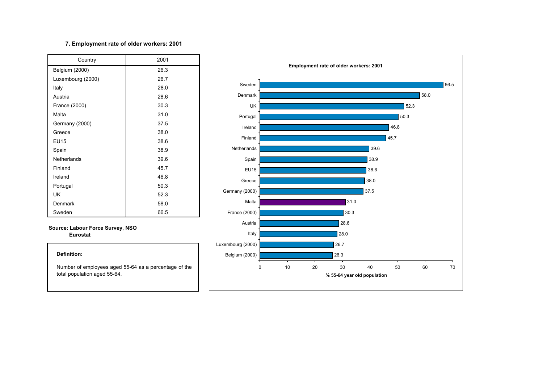## **7. Employment rate of older workers: 2001**

| Country           | 2001 |
|-------------------|------|
| Belgium (2000)    | 26.3 |
| Luxembourg (2000) | 26.7 |
| Italy             | 28.0 |
| Austria           | 28.6 |
| France (2000)     | 30.3 |
| Malta             | 31.0 |
| Germany (2000)    | 37.5 |
| Greece            | 38.0 |
| <b>EU15</b>       | 38.6 |
| Spain             | 38.9 |
| Netherlands       | 39.6 |
| Finland           | 45.7 |
| Ireland           | 46.8 |
| Portugal          | 50.3 |
| UK                | 52.3 |
| Denmark           | 58.0 |
| Sweden            | 66.5 |

#### **Source: Labour Force Survey, NSO Eurostat**

#### **Definition:**

Number of employees aged 55-64 as <sup>a</sup> percentage of the total population aged 55-64.

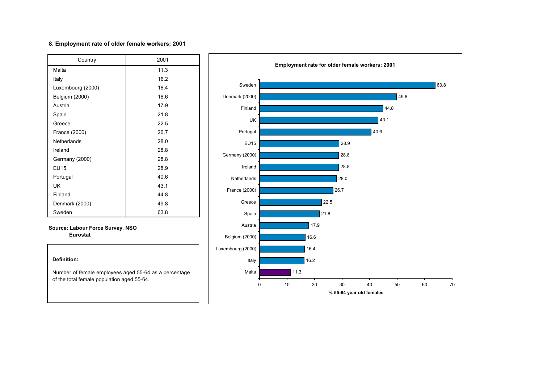### **8. Employment rate of older female workers: 2001**

| Country           | 2001 |
|-------------------|------|
| Malta             | 11.3 |
| Italy             | 16.2 |
| Luxembourg (2000) | 16.4 |
| Belgium (2000)    | 16.6 |
| Austria           | 17.9 |
| Spain             | 21.8 |
| Greece            | 22.5 |
| France (2000)     | 26.7 |
| Netherlands       | 28.0 |
| Ireland           | 28.8 |
| Germany (2000)    | 28.8 |
| <b>EU15</b>       | 28.9 |
| Portugal          | 40.6 |
| UK                | 43.1 |
| Finland           | 44.8 |
| Denmark (2000)    | 49.8 |
| Sweden            | 63.8 |

#### **Source: Labour Force Survey, NSO Eurostat**



Number of female employees aged 55-64 as <sup>a</sup> percentage of the total female population aged 55-64.

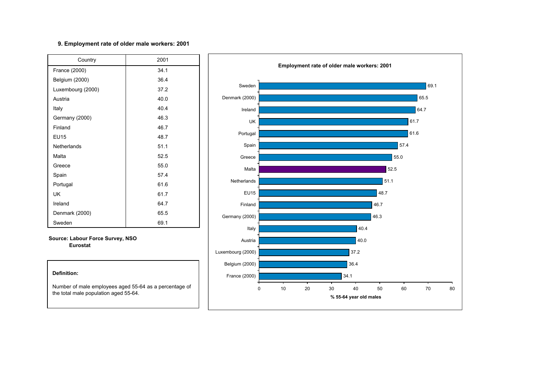### **9. Employment rate of older male workers: 2001**

| Country           | 2001 |
|-------------------|------|
| France (2000)     | 34.1 |
| Belgium (2000)    | 36.4 |
| Luxembourg (2000) | 37.2 |
| Austria           | 40.0 |
| Italy             | 40.4 |
| Germany (2000)    | 46.3 |
| Finland           | 46.7 |
| <b>EU15</b>       | 48.7 |
| Netherlands       | 51.1 |
| Malta             | 52.5 |
| Greece            | 55.0 |
| Spain             | 57.4 |
| Portugal          | 61.6 |
| UK                | 61.7 |
| Ireland           | 64.7 |
| Denmark (2000)    | 65.5 |
| Sweden            | 69.1 |

**Source: Labour Force Survey, NSO Eurostat**



Number of male employees aged 55-64 as <sup>a</sup> percentage of the total male population aged 55-64.

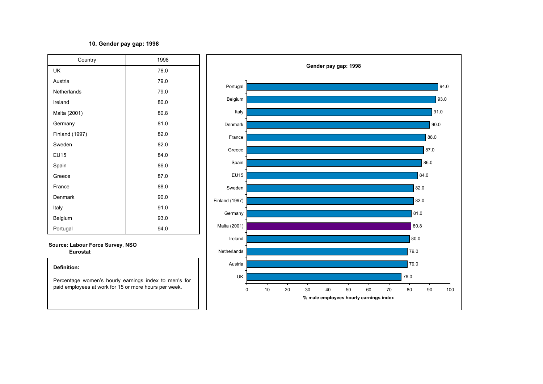## **10. Gender pay gap: 1998**

| Country               | 1998 |
|-----------------------|------|
| UK                    | 76.0 |
| Austria               | 79.0 |
| Netherlands           | 79.0 |
| Ireland               | 80.0 |
| Malta (2001)          | 80.8 |
| Germany               | 81.0 |
| <b>Finland (1997)</b> | 82.0 |
| Sweden                | 82.0 |
| <b>EU15</b>           | 84.0 |
| Spain                 | 86.0 |
| Greece                | 87.0 |
| France                | 88.0 |
| Denmark               | 90.0 |
| Italy                 | 91.0 |
| Belgium               | 93.0 |
| Portugal              | 94.0 |

**Source: Labour Force Survey, NSO Eurostat**

## **Definition:**Percentage women's hourly earnings index to men's for

paid employees at work for 15 or more hours per week.

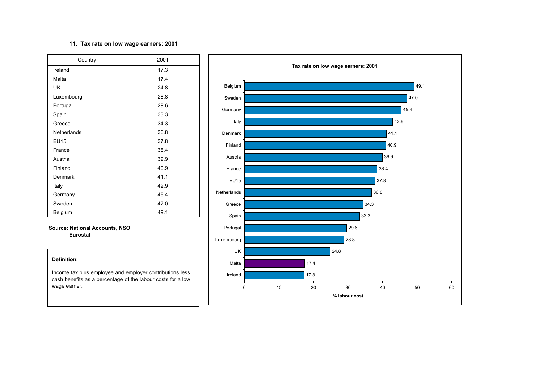### **11. Tax rate on low wage earners: 2001**

| Country     | 2001 |
|-------------|------|
| Ireland     | 17.3 |
| Malta       | 17.4 |
| UK          | 24.8 |
| Luxembourg  | 28.8 |
| Portugal    | 29.6 |
| Spain       | 33.3 |
| Greece      | 34.3 |
| Netherlands | 36.8 |
| <b>EU15</b> | 37.8 |
| France      | 38.4 |
| Austria     | 39.9 |
| Finland     | 40.9 |
| Denmark     | 41.1 |
| Italy       | 42.9 |
| Germany     | 45.4 |
| Sweden      | 47.0 |
| Belgium     | 49.1 |

**Source: National Accounts, NSO Eurostat**

#### **Definition:**

Income tax plus employee and employer contributions less cash benefits as <sup>a</sup> percentage of the labour costs for <sup>a</sup> low wage earner.

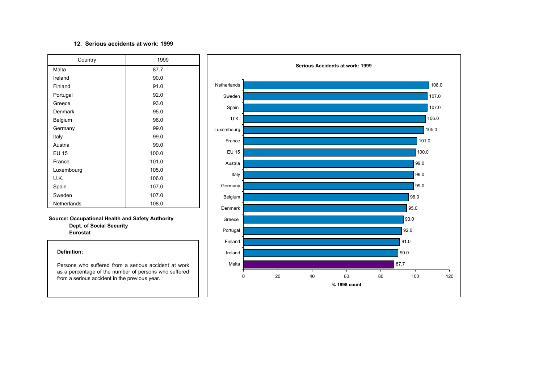#### **12. Serious accidents at work: 1999**

| Country      | 1999  |
|--------------|-------|
| Malta        | 87.7  |
| Ireland      | 90.0  |
| Finland      | 91.0  |
| Portugal     | 92.0  |
| Greece       | 93.0  |
| Denmark      | 95.0  |
| Belgium      | 96.0  |
| Germany      | 99.0  |
| Italy        | 99.0  |
| Austria      | 99.0  |
| <b>EU 15</b> | 100.0 |
| France       | 101.0 |
| Luxembourg   | 105.0 |
| U.K.         | 106.0 |
| Spain        | 107.0 |
| Sweden       | 107.0 |
| Netherlands  | 108.0 |

**Source: Occupational Health and Safety Authority Dept. of Social Security Eurostat**

#### **Definition:**

Persons who suffered from a serious accident at work as <sup>a</sup> percentage of the number of persons who suffered from a serious accident in the previous year.

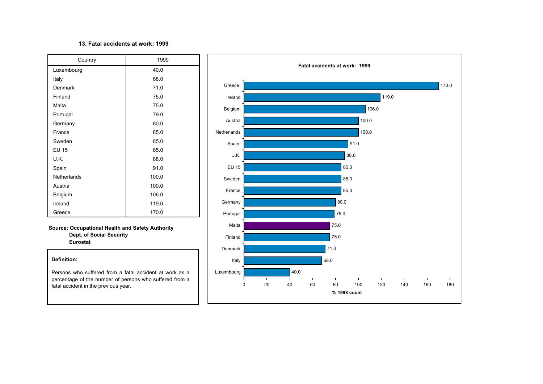#### **13. Fatal accidents at work: 1999**

| Country      | 1999  |
|--------------|-------|
| Luxembourg   | 40.0  |
| Italy        | 68.0  |
| Denmark      | 71.0  |
| Finland      | 75.0  |
| Malta        | 75.0  |
| Portugal     | 79.0  |
| Germany      | 80.0  |
| France       | 85.0  |
| Sweden       | 85.0  |
| <b>EU 15</b> | 85.0  |
| U.K.         | 88.0  |
| Spain        | 91.0  |
| Netherlands  | 100.0 |
| Austria      | 100.0 |
| Belgium      | 106.0 |
| Ireland      | 119.0 |
| Greece       | 170.0 |

**Source: Occupational Health and Safety Authority Dept. of Social Security Eurostat**

#### **Definition:**

Persons who suffered from a fatal accident at work as a percentage of the number of persons who suffered from <sup>a</sup> fatal accident in the previous year.

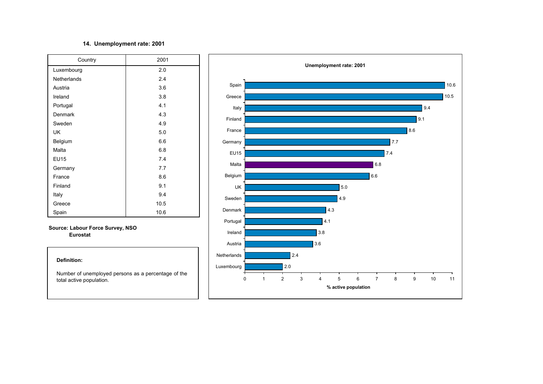## **14. Unemployment rate: 2001**

| Country     | 2001 |
|-------------|------|
| Luxembourg  | 2.0  |
| Netherlands | 2.4  |
| Austria     | 3.6  |
| Ireland     | 3.8  |
| Portugal    | 4.1  |
| Denmark     | 4.3  |
| Sweden      | 4.9  |
| UK          | 5.0  |
| Belgium     | 6.6  |
| Malta       | 6.8  |
| <b>EU15</b> | 7.4  |
| Germany     | 7.7  |
| France      | 8.6  |
| Finland     | 9.1  |
| Italy       | 9.4  |
| Greece      | 10.5 |
| Spain       | 10.6 |

**Source: Labour Force Survey, NSO Eurostat**

#### **Definition:**

Number of unemployed persons as <sup>a</sup> percentage of the total active population.

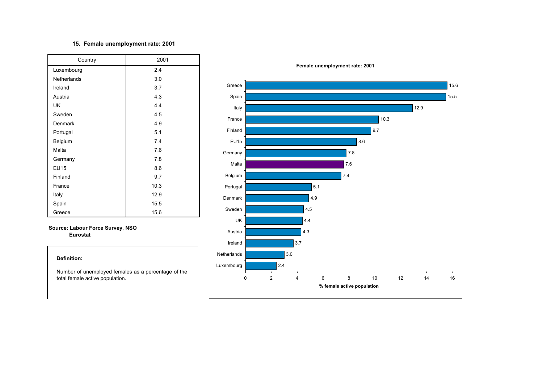### **15. Female unemployment rate: 2001**

| Country     | 2001 |
|-------------|------|
| Luxembourg  | 2.4  |
| Netherlands | 3.0  |
| Ireland     | 3.7  |
| Austria     | 4.3  |
| UK          | 4.4  |
| Sweden      | 4.5  |
| Denmark     | 4.9  |
| Portugal    | 5.1  |
| Belgium     | 7.4  |
| Malta       | 7.6  |
| Germany     | 7.8  |
| <b>EU15</b> | 8.6  |
| Finland     | 9.7  |
| France      | 10.3 |
| Italy       | 12.9 |
| Spain       | 15.5 |
| Greece      | 15.6 |

**Source: Labour Force Survey, NSO Eurostat**

#### **Definition:**

Number of unemployed females as <sup>a</sup> percentage of the total female active population.

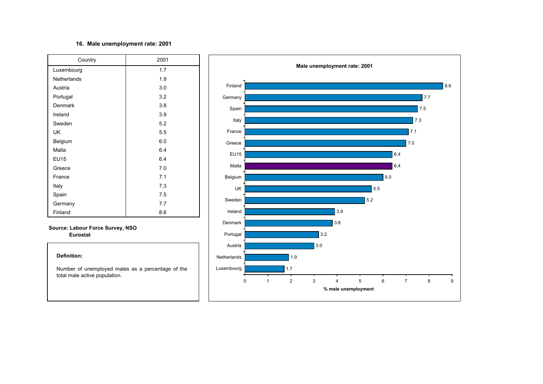### **16. Male unemployment rate: 2001**

| Country            | 2001 |
|--------------------|------|
| Luxembourg         | 1.7  |
| <b>Netherlands</b> | 1.9  |
| Austria            | 3.0  |
| Portugal           | 3.2  |
| Denmark            | 3.8  |
| Ireland            | 3.9  |
| Sweden             | 5.2  |
| <b>UK</b>          | 5.5  |
| Belgium            | 6.0  |
| Malta              | 6.4  |
| <b>EU15</b>        | 6.4  |
| Greece             | 7.0  |
| France             | 7.1  |
| Italy              | 7.3  |
| Spain              | 7.5  |
| Germany            | 7.7  |
| Finland            | 8.6  |

#### **Source: Labour Force Survey, NSO Eurostat**

#### **Definition:**

Number of unemployed males as <sup>a</sup> percentage of the total male active population.

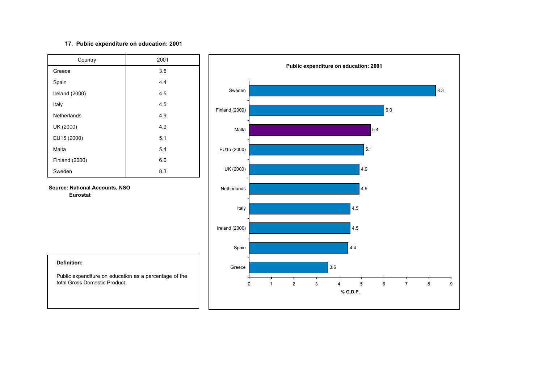## **17. Public expenditure on education: 2001**

| Country        | 2001 |
|----------------|------|
| Greece         | 3.5  |
| Spain          | 4.4  |
| Ireland (2000) | 4.5  |
| Italy          | 4.5  |
| Netherlands    | 4.9  |
| UK (2000)      | 4.9  |
| EU15 (2000)    | 5.1  |
| Malta          | 5.4  |
| Finland (2000) | 6.0  |
| Sweden         | 8.3  |

**Source: National Accounts, NSO Eurostat**



#### **Definition:**

Public expenditure on education as <sup>a</sup> percentage of the total Gross Domestic Product.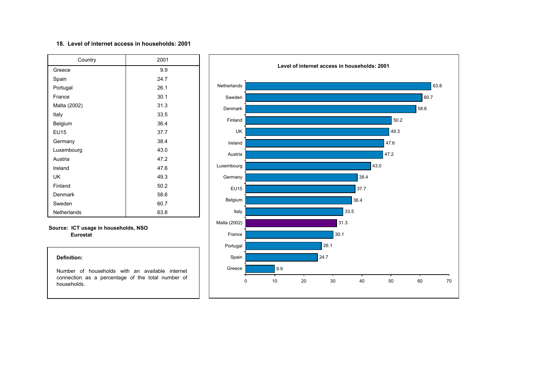#### **18. Level of internet access in households: 2001**

| Country      | 2001 |
|--------------|------|
| Greece       | 9.9  |
| Spain        | 24.7 |
| Portugal     | 26.1 |
| France       | 30.1 |
| Malta (2002) | 31.3 |
| Italy        | 33.5 |
| Belgium      | 36.4 |
| <b>EU15</b>  | 37.7 |
| Germany      | 38.4 |
| Luxembourg   | 43.0 |
| Austria      | 47.2 |
| Ireland      | 47.6 |
| UK           | 49.3 |
| Finland      | 50.2 |
| Denmark      | 58.6 |
| Sweden       | 60.7 |
| Netherlands  | 63.8 |

#### **Source: ICT usage in households, NSO Eurostat**

#### **Definition:**

Number of households with an available internet connection as <sup>a</sup> percentage of the total number of households.

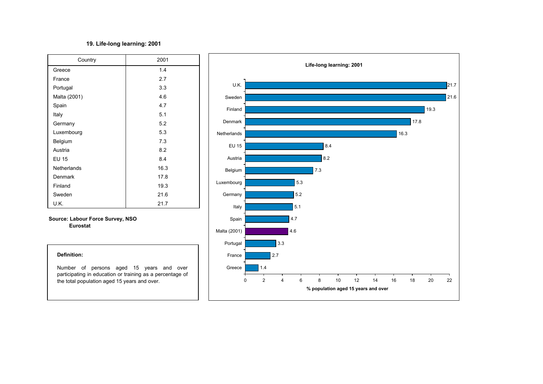## **19. Life-long learning: 2001**

| Country      | 2001 |
|--------------|------|
| Greece       | 1.4  |
| France       | 2.7  |
| Portugal     | 3.3  |
| Malta (2001) | 4.6  |
| Spain        | 4.7  |
| Italy        | 5.1  |
| Germany      | 5.2  |
| Luxembourg   | 5.3  |
| Belgium      | 7.3  |
| Austria      | 8.2  |
| <b>EU 15</b> | 8.4  |
| Netherlands  | 16.3 |
| Denmark      | 17.8 |
| Finland      | 19.3 |
| Sweden       | 21.6 |
| U.K.         | 21.7 |

### **Source: Labour Force Survey, NSO Eurostat**



**Life-long learning: 2001**

U.K.

21.7

#### **Definition:**

Number of persons aged 15 years and over participating in education or training as <sup>a</sup> percentage of the total population aged 15 years and over.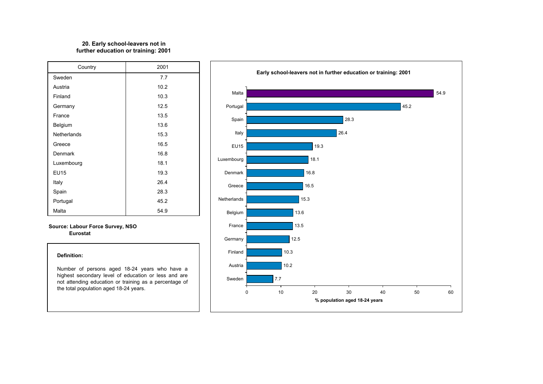## **20. Early school-leavers not in further education or training: 2001**

| Country     | 2001 |
|-------------|------|
| Sweden      | 7.7  |
| Austria     | 10.2 |
| Finland     | 10.3 |
| Germany     | 12.5 |
| France      | 13.5 |
| Belgium     | 13.6 |
| Netherlands | 15.3 |
| Greece      | 16.5 |
| Denmark     | 16.8 |
| Luxembourg  | 18.1 |
| <b>EU15</b> | 19.3 |
| Italy       | 26.4 |
| Spain       | 28.3 |
| Portugal    | 45.2 |
| Malta       | 54.9 |

**Source: Labour Force Survey, NSO Eurostat**

#### **Definition:**

Number of persons aged 18-24 years who have <sup>a</sup> highest secondary level of education or less and are not attending education or training as <sup>a</sup> percentage of the total population aged 18-24 years.

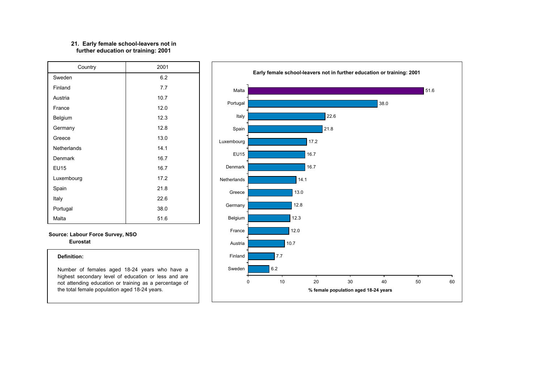#### **further education or training: 2001 21. Early female school-leavers not in**

| Country     | 2001 |
|-------------|------|
| Sweden      | 6.2  |
| Finland     | 7.7  |
| Austria     | 10.7 |
| France      | 12.0 |
| Belgium     | 12.3 |
| Germany     | 12.8 |
| Greece      | 13.0 |
| Netherlands | 14.1 |
| Denmark     | 16.7 |
| <b>EU15</b> | 16.7 |
| Luxembourg  | 17.2 |
| Spain       | 21.8 |
| Italy       | 22.6 |
| Portugal    | 38.0 |
| Malta       | 51.6 |

**Source: Labour Force Survey, NSO Eurostat**

#### **Definition:**

Number of females aged 18-24 years who have <sup>a</sup> highest secondary level of education or less and are not attending education or training as <sup>a</sup> percentage of the total female population aged 18-24 years.

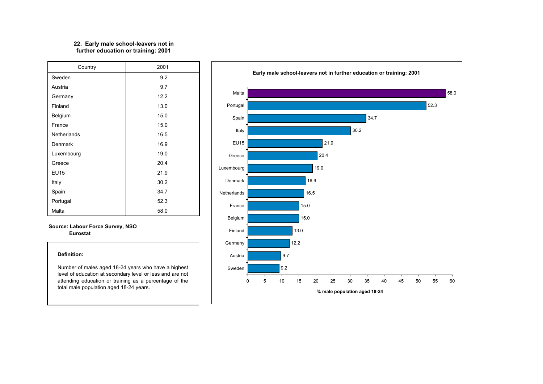#### **further education or training: 2001 22. Early male school-leavers not in**

| Country            | 2001 |
|--------------------|------|
| Sweden             | 9.2  |
| Austria            | 9.7  |
| Germany            | 12.2 |
| Finland            | 13.0 |
| Belgium            | 15.0 |
| France             | 15.0 |
| <b>Netherlands</b> | 16.5 |
| Denmark            | 16.9 |
| Luxembourg         | 19.0 |
| Greece             | 20.4 |
| <b>EU15</b>        | 21.9 |
| Italy              | 30.2 |
| Spain              | 34.7 |
| Portugal           | 52.3 |
| Malta              | 58.0 |

#### **Source: Labour Force Survey, NSO Eurostat**

#### **Definition:**

Number of males aged 18-24 years who have <sup>a</sup> highest level of education at secondary level or less and are not attending education or training as <sup>a</sup> percentage of the total male population aged 18-24 years.

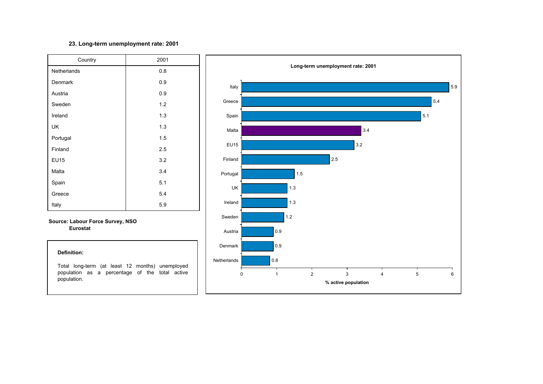## **23. Long-term unemployment rate: 2001**

| Country     | 2001 |  |  |  |  |  |  |
|-------------|------|--|--|--|--|--|--|
| Netherlands | 0.8  |  |  |  |  |  |  |
| Denmark     | 0.9  |  |  |  |  |  |  |
| Austria     | 0.9  |  |  |  |  |  |  |
| Sweden      | 1.2  |  |  |  |  |  |  |
| Ireland     | 1.3  |  |  |  |  |  |  |
| UK          | 1.3  |  |  |  |  |  |  |
| Portugal    | 1.5  |  |  |  |  |  |  |
| Finland     | 2.5  |  |  |  |  |  |  |
| <b>EU15</b> | 3.2  |  |  |  |  |  |  |
| Malta       | 3.4  |  |  |  |  |  |  |
| Spain       | 5.1  |  |  |  |  |  |  |
| Greece      | 5.4  |  |  |  |  |  |  |
| Italy       | 5.9  |  |  |  |  |  |  |

#### **Source: Labour Force Survey, NSO Eurostat**



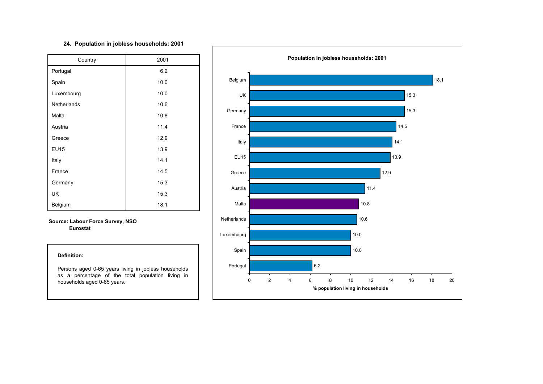#### **24. Population in jobless households: 2001**

| Country     | 2001 |  |  |  |  |  |
|-------------|------|--|--|--|--|--|
| Portugal    | 6.2  |  |  |  |  |  |
| Spain       | 10.0 |  |  |  |  |  |
| Luxembourg  | 10.0 |  |  |  |  |  |
| Netherlands | 10.6 |  |  |  |  |  |
| Malta       | 10.8 |  |  |  |  |  |
| Austria     | 11.4 |  |  |  |  |  |
| Greece      | 12.9 |  |  |  |  |  |
| <b>EU15</b> | 13.9 |  |  |  |  |  |
| Italy       | 14.1 |  |  |  |  |  |
| France      | 14.5 |  |  |  |  |  |
| Germany     | 15.3 |  |  |  |  |  |
| UK          | 15.3 |  |  |  |  |  |
| Belgium     | 18.1 |  |  |  |  |  |

#### **Source: Labour Force Survey, NSO Eurostat**

#### **Definition:**

Persons aged 0-65 years living in jobless households as <sup>a</sup> percentage of the total population living in households aged 0-65 years.

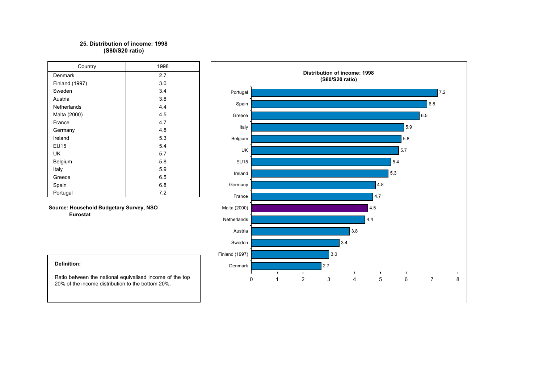### **25. Distribution of income: 1998(S80/S20 ratio)**

| Country            | 1998 |  |  |  |  |  |  |
|--------------------|------|--|--|--|--|--|--|
| Denmark            | 2.7  |  |  |  |  |  |  |
| Finland (1997)     | 3.0  |  |  |  |  |  |  |
| Sweden             | 3.4  |  |  |  |  |  |  |
| Austria            | 3.8  |  |  |  |  |  |  |
| <b>Netherlands</b> | 4.4  |  |  |  |  |  |  |
| Malta (2000)       | 4.5  |  |  |  |  |  |  |
| France             | 4.7  |  |  |  |  |  |  |
| Germany            | 4.8  |  |  |  |  |  |  |
| Ireland            | 5.3  |  |  |  |  |  |  |
| EU15               | 5.4  |  |  |  |  |  |  |
| UK                 | 5.7  |  |  |  |  |  |  |
| Belgium            | 5.8  |  |  |  |  |  |  |
| Italy              | 5.9  |  |  |  |  |  |  |
| Greece             | 6.5  |  |  |  |  |  |  |
| Spain              | 6.8  |  |  |  |  |  |  |
| Portugal           | 7.2  |  |  |  |  |  |  |

**Source: Household Budgetary Survey, NSO Eurostat**



#### **Definition:**

Ratio between the national equivalised income of the top 20% of the income distribution to the bottom 20%.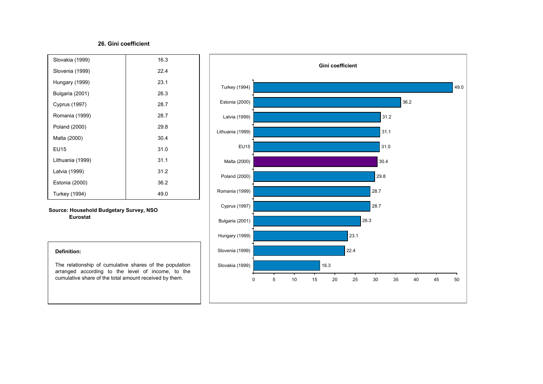#### **26. Gini coefficient**

| Slovakia (1999)  | 16.3 |
|------------------|------|
| Slovenia (1999)  | 22.4 |
| Hungary (1999)   | 23.1 |
| Bulgaria (2001)  | 26.3 |
| Cyprus (1997)    | 28.7 |
| Romania (1999)   | 28.7 |
| Poland (2000)    | 29.8 |
| Malta (2000)     | 30.4 |
| EU15             | 31.0 |
| Lithuania (1999) | 31.1 |
| Latvia (1999)    | 31.2 |
| Estonia (2000)   | 36.2 |
| Turkey (1994)    | 49.0 |

**Source: Household Budgetary Survey, NSO Eurostat**



#### **Definition:**

The relationship of cumulative shares of the population arranged according to the level of income, to the cumulative share of the total amount received by them.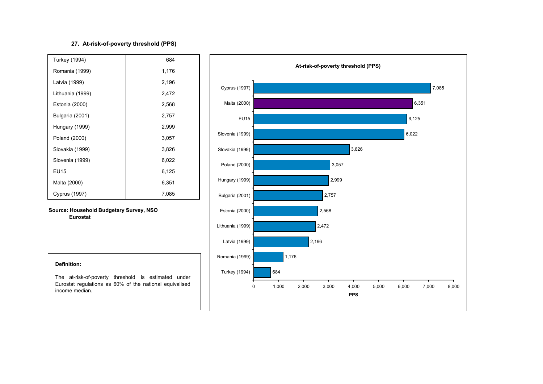## **27. At-risk-of-poverty threshold (PPS)**

| Turkey (1994)        | 684   |  |
|----------------------|-------|--|
| Romania (1999)       | 1,176 |  |
| Latvia (1999)        | 2,196 |  |
| Lithuania (1999)     | 2,472 |  |
| Estonia (2000)       | 2,568 |  |
| Bulgaria (2001)      | 2,757 |  |
| Hungary (1999)       | 2,999 |  |
| Poland (2000)        | 3,057 |  |
| Slovakia (1999)      | 3,826 |  |
| Slovenia (1999)      | 6,022 |  |
| EU15                 | 6,125 |  |
| Malta (2000)         | 6,351 |  |
| <b>Cyprus (1997)</b> | 7,085 |  |

**Source: Household Budgetary Survey, NSO Eurostat**



#### **Definition:**

The at-risk-of-poverty threshold is estimated under Eurostat regulations as 60% of the national equivalised income median.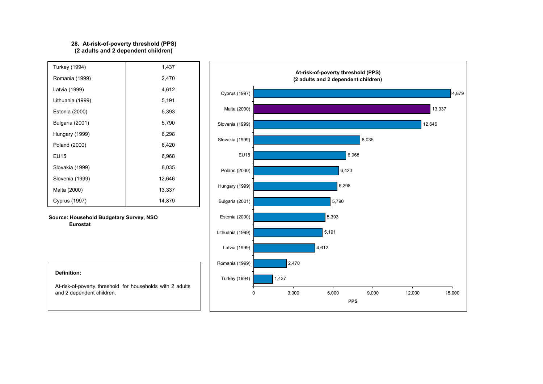#### **28. At-risk-of-poverty threshold (PPS) (2 adults and 2 dependent children)**

| Turkey (1994)    | 1,437  |
|------------------|--------|
| Romania (1999)   | 2,470  |
| Latvia (1999)    | 4,612  |
| Lithuania (1999) | 5,191  |
| Estonia (2000)   | 5,393  |
| Bulgaria (2001)  | 5,790  |
| Hungary (1999)   | 6,298  |
| Poland (2000)    | 6,420  |
| EU15             | 6,968  |
| Slovakia (1999)  | 8,035  |
| Slovenia (1999)  | 12,646 |
| Malta (2000)     | 13,337 |
| Cyprus (1997)    | 14,879 |

**Source: Household Budgetary Survey, NSO Eurostat**



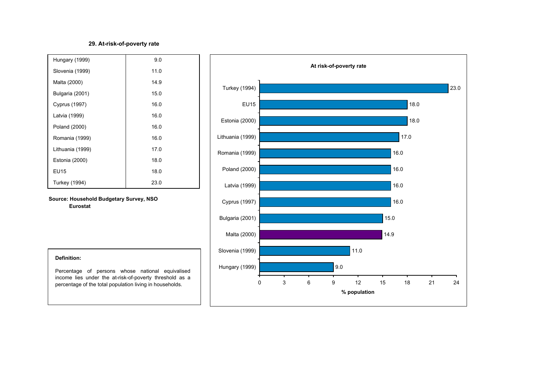## **29. At-risk-of-poverty rate**

| Hungary (1999)       | 9.0  |
|----------------------|------|
| Slovenia (1999)      | 11.0 |
| Malta (2000)         | 14.9 |
| Bulgaria (2001)      | 15.0 |
| <b>Cyprus (1997)</b> | 16.0 |
| Latvia (1999)        | 16.0 |
| Poland (2000)        | 16.0 |
| Romania (1999)       | 16.0 |
| Lithuania (1999)     | 17.0 |
| Estonia (2000)       | 18.0 |
| <b>EU15</b>          | 18.0 |
| Turkey (1994)        | 23.0 |

**Source: Household Budgetary Survey, NSO Eurostat**



#### **Definition:**

Percentage of persons whose national equivalised income lies under the at-risk-of-poverty threshold as <sup>a</sup> percentage of the total population living in households.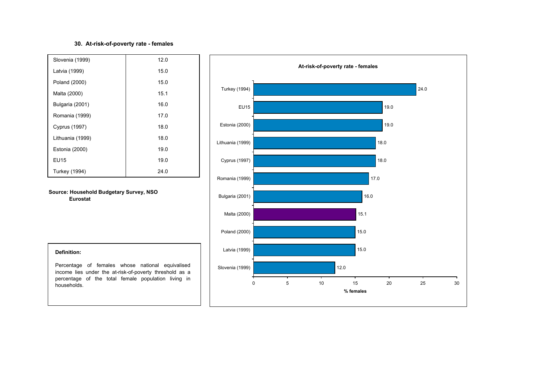## **30. At-risk-of-poverty rate - females**

| Slovenia (1999)      | 12.0 |
|----------------------|------|
| Latvia (1999)        | 15.0 |
| Poland (2000)        | 15.0 |
| Malta (2000)         | 15.1 |
| Bulgaria (2001)      | 16.0 |
| Romania (1999)       | 17.0 |
| <b>Cyprus (1997)</b> | 18.0 |
| Lithuania (1999)     | 18.0 |
| Estonia (2000)       | 19.0 |
| EU15                 | 19.0 |
| Turkey (1994)        | 24.0 |

**Source: Household Budgetary Survey, NSO Eurostat**



#### **Definition:**

Percentage of females whose national equivalised income lies under the at-risk-of-poverty threshold as <sup>a</sup> percentage of the total female population living in households.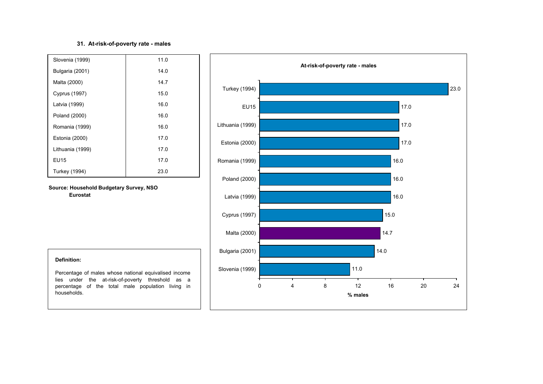## **31. At-risk-of-poverty rate - males**

| Slovenia (1999)      | 11.0 |
|----------------------|------|
| Bulgaria (2001)      | 14.0 |
| Malta (2000)         | 14.7 |
| <b>Cyprus (1997)</b> | 15.0 |
| Latvia (1999)        | 16.0 |
| Poland (2000)        | 16.0 |
| Romania (1999)       | 16.0 |
| Estonia (2000)       | 17.0 |
| Lithuania (1999)     | 17.0 |
| EU15                 | 17.0 |
| Turkey (1994)        | 23.0 |

**Source: Household Budgetary Survey, NSO Eurostat**



#### **Definition:**

Percentage of males whose national equivalised income lies under the at-risk-of-poverty threshold as <sup>a</sup> percentage of the total male population living in households.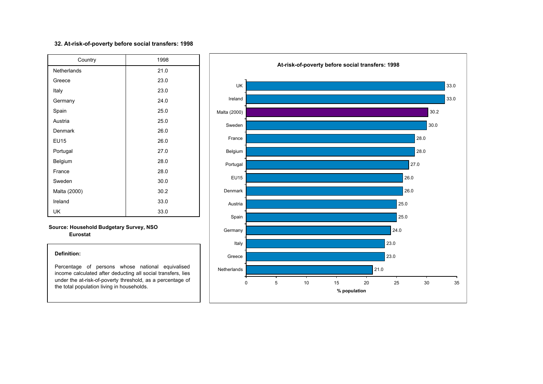### **32. At-risk-of-poverty before social transfers: 1998**

| Country      | 1998 |  |  |  |  |  |
|--------------|------|--|--|--|--|--|
| Netherlands  | 21.0 |  |  |  |  |  |
| Greece       | 23.0 |  |  |  |  |  |
| Italy        | 23.0 |  |  |  |  |  |
| Germany      | 24.0 |  |  |  |  |  |
| Spain        | 25.0 |  |  |  |  |  |
| Austria      | 25.0 |  |  |  |  |  |
| Denmark      | 26.0 |  |  |  |  |  |
| <b>EU15</b>  | 26.0 |  |  |  |  |  |
| Portugal     | 27.0 |  |  |  |  |  |
| Belgium      | 28.0 |  |  |  |  |  |
| France       | 28.0 |  |  |  |  |  |
| Sweden       | 30.0 |  |  |  |  |  |
| Malta (2000) | 30.2 |  |  |  |  |  |
| Ireland      | 33.0 |  |  |  |  |  |
| UK           | 33.0 |  |  |  |  |  |

#### **Source: Household Budgetary Survey, NSO Eurostat**

#### **Definition:**

Percentage of persons whose national equivalised income calculated after deducting all social transfers, lies under the at-risk-of-poverty threshold, as <sup>a</sup> percentage of the total population living in households.

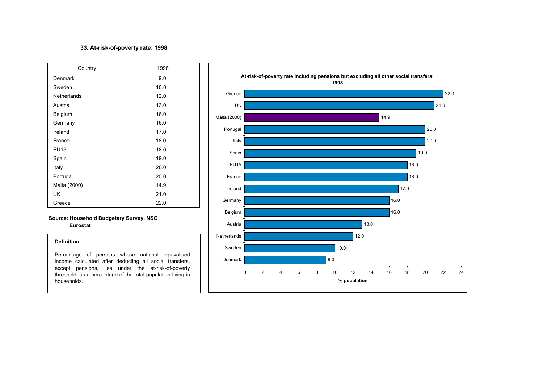#### **33. At-risk-of-poverty rate: 1998**

| Country      | 1998 |  |  |  |  |  |
|--------------|------|--|--|--|--|--|
| Denmark      | 9.0  |  |  |  |  |  |
| Sweden       | 10.0 |  |  |  |  |  |
| Netherlands  | 12.0 |  |  |  |  |  |
| Austria      | 13.0 |  |  |  |  |  |
| Belgium      | 16.0 |  |  |  |  |  |
| Germany      | 16.0 |  |  |  |  |  |
| Ireland      | 17.0 |  |  |  |  |  |
| France       | 18.0 |  |  |  |  |  |
| <b>EU15</b>  | 18.0 |  |  |  |  |  |
| Spain        | 19.0 |  |  |  |  |  |
| Italy        | 20.0 |  |  |  |  |  |
| Portugal     | 20.0 |  |  |  |  |  |
| Malta (2000) | 14.9 |  |  |  |  |  |
| UK           | 21.0 |  |  |  |  |  |
| Greece       | 22.0 |  |  |  |  |  |

### **Source: Household Budgetary Survey, NSO Eurostat**

#### **Definition:**

Percentage of persons whose national equivalised income calculated after deducting all social transfers, except pensions, lies under the at-risk-of-poverty threshold, as <sup>a</sup> percentage of the total population living in households.

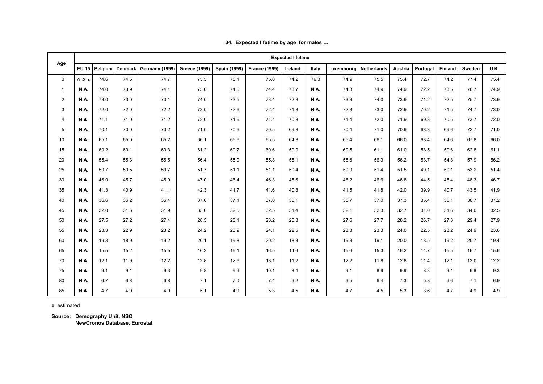|                | <b>Expected lifetime</b> |         |         |                |                      |              |                      |         |             |                        |      |         |          |                |        |             |
|----------------|--------------------------|---------|---------|----------------|----------------------|--------------|----------------------|---------|-------------|------------------------|------|---------|----------|----------------|--------|-------------|
| Age            | <b>EU 15</b>             | Belgium | Denmark | Germany (1999) | <b>Greece (1999)</b> | Spain (1999) | <b>France (1999)</b> | Ireland | Italy       | Luxembourg Netherlands |      | Austria | Portugal | <b>Finland</b> | Sweden | <b>U.K.</b> |
| $\mathbf 0$    | 75.3 e                   | 74.6    | 74.5    | 74.7           | 75.5                 | 75.1         | 75.0                 | 74.2    | 76.3        | 74.9                   | 75.5 | 75.4    | 72.7     | 74.2           | 77.4   | 75.4        |
| $\mathbf{1}$   | <b>N.A.</b>              | 74.0    | 73.9    | 74.1           | 75.0                 | 74.5         | 74.4                 | 73.7    | <b>N.A.</b> | 74.3                   | 74.9 | 74.9    | 72.2     | 73.5           | 76.7   | 74.9        |
| $\overline{2}$ | N.A.                     | 73.0    | 73.0    | 73.1           | 74.0                 | 73.5         | 73.4                 | 72.8    | N.A.        | 73.3                   | 74.0 | 73.9    | 71.2     | 72.5           | 75.7   | 73.9        |
| 3              | <b>N.A.</b>              | 72.0    | 72.0    | 72.2           | 73.0                 | 72.6         | 72.4                 | 71.8    | N.A.        | 72.3                   | 73.0 | 72.9    | 70.2     | 71.5           | 74.7   | 73.0        |
| $\overline{4}$ | <b>N.A.</b>              | 71.1    | 71.0    | 71.2           | 72.0                 | 71.6         | 71.4                 | 70.8    | <b>N.A.</b> | 71.4                   | 72.0 | 71.9    | 69.3     | 70.5           | 73.7   | 72.0        |
| 5              | N.A.                     | 70.1    | 70.0    | 70.2           | 71.0                 | 70.6         | 70.5                 | 69.8    | N.A.        | 70.4                   | 71.0 | 70.9    | 68.3     | 69.6           | 72.7   | 71.0        |
| 10             | <b>N.A.</b>              | 65.1    | 65.0    | 65.2           | 66.1                 | 65.6         | 65.5                 | 64.8    | N.A.        | 65.4                   | 66.1 | 66.0    | 63.4     | 64.6           | 67.8   | 66.0        |
| 15             | N.A.                     | 60.2    | 60.1    | 60.3           | 61.2                 | 60.7         | 60.6                 | 59.9    | N.A.        | 60.5                   | 61.1 | 61.0    | 58.5     | 59.6           | 62.8   | 61.1        |
| 20             | <b>N.A.</b>              | 55.4    | 55.3    | 55.5           | 56.4                 | 55.9         | 55.8                 | 55.1    | <b>N.A.</b> | 55.6                   | 56.3 | 56.2    | 53.7     | 54.8           | 57.9   | 56.2        |
| 25             | <b>N.A.</b>              | 50.7    | 50.5    | 50.7           | 51.7                 | 51.1         | 51.1                 | 50.4    | N.A.        | 50.9                   | 51.4 | 51.5    | 49.1     | 50.1           | 53.2   | 51.4        |
| 30             | <b>N.A.</b>              | 46.0    | 45.7    | 45.9           | 47.0                 | 46.4         | 46.3                 | 45.6    | N.A.        | 46.2                   | 46.6 | 46.8    | 44.5     | 45.4           | 48.3   | 46.7        |
| 35             | <b>N.A.</b>              | 41.3    | 40.9    | 41.1           | 42.3                 | 41.7         | 41.6                 | 40.8    | <b>N.A.</b> | 41.5                   | 41.8 | 42.0    | 39.9     | 40.7           | 43.5   | 41.9        |
| 40             | <b>N.A.</b>              | 36.6    | 36.2    | 36.4           | 37.6                 | 37.1         | 37.0                 | 36.1    | <b>N.A.</b> | 36.7                   | 37.0 | 37.3    | 35.4     | 36.1           | 38.7   | 37.2        |
| 45             | <b>N.A.</b>              | 32.0    | 31.6    | 31.9           | 33.0                 | 32.5         | 32.5                 | 31.4    | N.A.        | 32.1                   | 32.3 | 32.7    | 31.0     | 31.6           | 34.0   | 32.5        |
| 50             | <b>N.A.</b>              | 27.5    | 27.2    | 27.4           | 28.5                 | 28.1         | 28.2                 | 26.8    | <b>N.A.</b> | 27.6                   | 27.7 | 28.2    | 26.7     | 27.3           | 29.4   | 27.9        |
| 55             | <b>N.A.</b>              | 23.3    | 22.9    | 23.2           | 24.2                 | 23.9         | 24.1                 | 22.5    | <b>N.A.</b> | 23.3                   | 23.3 | 24.0    | 22.5     | 23.2           | 24.9   | 23.6        |
| 60             | N.A.                     | 19.3    | 18.9    | 19.2           | 20.1                 | 19.8         | 20.2                 | 18.3    | N.A.        | 19.3                   | 19.1 | 20.0    | 18.5     | 19.2           | 20.7   | 19.4        |
| 65             | <b>N.A.</b>              | 15.5    | 15.2    | 15.5           | 16.3                 | 16.1         | 16.5                 | 14.6    | <b>N.A.</b> | 15.6                   | 15.3 | 16.2    | 14.7     | 15.5           | 16.7   | 15.6        |
| 70             | N.A.                     | 12.1    | 11.9    | 12.2           | 12.8                 | 12.6         | 13.1                 | 11.2    | N.A.        | 12.2                   | 11.8 | 12.8    | 11.4     | 12.1           | 13.0   | 12.2        |
| 75             | N.A.                     | 9.1     | 9.1     | 9.3            | 9.8                  | 9.6          | 10.1                 | 8.4     | N.A.        | 9.1                    | 8.9  | 9.9     | 8.3      | 9.1            | 9.8    | 9.3         |
| 80             | <b>N.A.</b>              | 6.7     | 6.8     | 6.8            | 7.1                  | 7.0          | 7.4                  | 6.2     | <b>N.A.</b> | 6.5                    | 6.4  | 7.3     | 5.8      | 6.6            | 7.1    | 6.9         |
| 85             | <b>N.A.</b>              | 4.7     | 4.9     | 4.9            | 5.1                  | 4.9          | 5.3                  | 4.5     | N.A.        | 4.7                    | 4.5  | 5.3     | 3.6      | 4.7            | 4.9    | 4.9         |

**34. Expected lifetime by age for males …**

 **e** estimated

 **Source: Demography Unit, NS O NewCronos Database, Eurostat**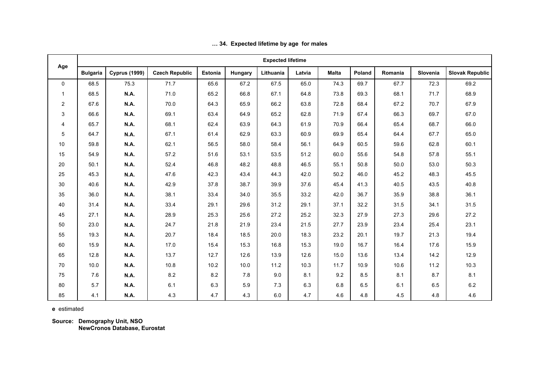|                |                 |                      |                       |                |         | <b>Expected lifetime</b> |        |              |        |         |          |                        |
|----------------|-----------------|----------------------|-----------------------|----------------|---------|--------------------------|--------|--------------|--------|---------|----------|------------------------|
| Age            | <b>Bulgaria</b> | <b>Cyprus (1999)</b> | <b>Czech Republic</b> | <b>Estonia</b> | Hungary | Lithuania                | Latvia | <b>Malta</b> | Poland | Romania | Slovenia | <b>Slovak Republic</b> |
| $\mathbf 0$    | 68.5            | 75.3                 | 71.7                  | 65.6           | 67.2    | 67.5                     | 65.0   | 74.3         | 69.7   | 67.7    | 72.3     | 69.2                   |
| -1             | 68.5            | N.A.                 | 71.0                  | 65.2           | 66.8    | 67.1                     | 64.8   | 73.8         | 69.3   | 68.1    | 71.7     | 68.9                   |
| $\overline{2}$ | 67.6            | N.A.                 | 70.0                  | 64.3           | 65.9    | 66.2                     | 63.8   | 72.8         | 68.4   | 67.2    | 70.7     | 67.9                   |
| 3              | 66.6            | N.A.                 | 69.1                  | 63.4           | 64.9    | 65.2                     | 62.8   | 71.9         | 67.4   | 66.3    | 69.7     | 67.0                   |
| 4              | 65.7            | N.A.                 | 68.1                  | 62.4           | 63.9    | 64.3                     | 61.9   | 70.9         | 66.4   | 65.4    | 68.7     | 66.0                   |
| 5              | 64.7            | N.A.                 | 67.1                  | 61.4           | 62.9    | 63.3                     | 60.9   | 69.9         | 65.4   | 64.4    | 67.7     | 65.0                   |
| 10             | 59.8            | N.A.                 | 62.1                  | 56.5           | 58.0    | 58.4                     | 56.1   | 64.9         | 60.5   | 59.6    | 62.8     | 60.1                   |
| 15             | 54.9            | N.A.                 | 57.2                  | 51.6           | 53.1    | 53.5                     | 51.2   | 60.0         | 55.6   | 54.8    | 57.8     | 55.1                   |
| 20             | 50.1            | N.A.                 | 52.4                  | 46.8           | 48.2    | 48.8                     | 46.5   | 55.1         | 50.8   | 50.0    | 53.0     | 50.3                   |
| 25             | 45.3            | N.A.                 | 47.6                  | 42.3           | 43.4    | 44.3                     | 42.0   | 50.2         | 46.0   | 45.2    | 48.3     | 45.5                   |
| 30             | 40.6            | N.A.                 | 42.9                  | 37.8           | 38.7    | 39.9                     | 37.6   | 45.4         | 41.3   | 40.5    | 43.5     | 40.8                   |
| 35             | 36.0            | N.A.                 | 38.1                  | 33.4           | 34.0    | 35.5                     | 33.2   | 42.0         | 36.7   | 35.9    | 38.8     | 36.1                   |
| 40             | 31.4            | N.A.                 | 33.4                  | 29.1           | 29.6    | 31.2                     | 29.1   | 37.1         | 32.2   | 31.5    | 34.1     | 31.5                   |
| 45             | 27.1            | N.A.                 | 28.9                  | 25.3           | 25.6    | 27.2                     | 25.2   | 32.3         | 27.9   | 27.3    | 29.6     | 27.2                   |
| 50             | 23.0            | N.A.                 | 24.7                  | 21.8           | 21.9    | 23.4                     | 21.5   | 27.7         | 23.9   | 23.4    | 25.4     | 23.1                   |
| 55             | 19.3            | N.A.                 | 20.7                  | 18.4           | 18.5    | 20.0                     | 18.3   | 23.2         | 20.1   | 19.7    | 21.3     | 19.4                   |
| 60             | 15.9            | N.A.                 | 17.0                  | 15.4           | 15.3    | 16.8                     | 15.3   | 19.0         | 16.7   | 16.4    | 17.6     | 15.9                   |
| 65             | 12.8            | N.A.                 | 13.7                  | 12.7           | 12.6    | 13.9                     | 12.6   | 15.0         | 13.6   | 13.4    | 14.2     | 12.9                   |
| 70             | 10.0            | N.A.                 | 10.8                  | 10.2           | 10.0    | 11.2                     | 10.3   | 11.7         | 10.9   | 10.6    | 11.2     | 10.3                   |
| 75             | 7.6             | N.A.                 | 8.2                   | 8.2            | 7.8     | 9.0                      | 8.1    | 9.2          | 8.5    | 8.1     | 8.7      | 8.1                    |
| 80             | 5.7             | N.A.                 | 6.1                   | 6.3            | 5.9     | 7.3                      | 6.3    | 6.8          | 6.5    | 6.1     | 6.5      | 6.2                    |
| 85             | 4.1             | N.A.                 | 4.3                   | 4.7            | 4.3     | 6.0                      | 4.7    | 4.6          | 4.8    | 4.5     | 4.8      | 4.6                    |

## **… 34. Expected lifetime by age for males**

 **e** estimated

 **Source: Demography Unit, NSO**

**NewCronos Database, Eurostat**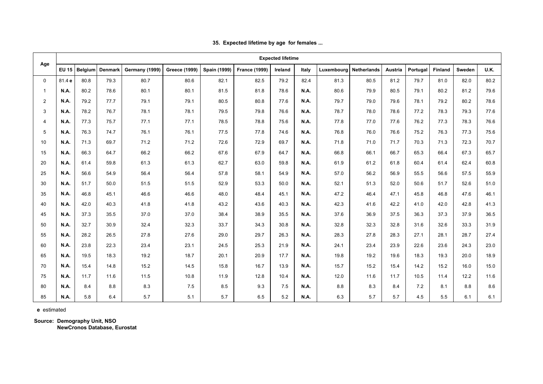|    | <b>Expected lifetime</b><br>Age<br><b>EU 15</b><br><b>Germany (1999)</b><br><b>Greece (1999)</b><br><b>Spain (1999)</b><br><b>France (1999)</b><br><b>Finland</b><br>Belgium<br><b>Denmark</b><br><b>Netherlands</b><br>Portugal<br>Ireland<br>Italy<br>Luxembourg<br>Austria<br>Sweden<br>81.4 e<br>80.8<br>79.3<br>82.5<br>81.3<br>80.5<br>$\Omega$<br>80.7<br>80.6<br>82.1<br>79.2<br>82.4<br>81.2<br>79.7<br>81.0<br>82.0<br>N.A.<br><b>N.A.</b><br>80.2<br>78.6<br>80.1<br>80.1<br>81.5<br>81.8<br>78.6<br>80.6<br>79.9<br>80.5<br>79.1<br>80.2<br>81.2<br>$\mathbf{1}$<br>$\overline{2}$<br>N.A.<br>79.2<br>79.2<br>80.2<br>77.7<br>79.1<br>79.1<br>80.5<br>80.8<br>77.6<br><b>N.A.</b><br>79.7<br>79.0<br>79.6<br>78.1<br>3<br><b>N.A.</b><br>76.7<br>78.1<br>77.2<br>78.3<br>79.3<br>78.2<br>78.1<br>79.5<br>79.8<br>76.6<br>N.A.<br>78.7<br>78.0<br>78.6<br>$\overline{4}$<br>N.A.<br>77.3<br>75.7<br>77.1<br>77.1<br>78.5<br>78.8<br>75.6<br>N.A.<br>77.8<br>76.2<br>77.3<br>78.3<br>77.0<br>77.6<br>5<br>76.1<br>77.5<br>76.3<br>77.3<br>N.A.<br>76.3<br>74.7<br>76.1<br>77.8<br>74.6<br><b>N.A.</b><br>76.8<br>76.0<br>76.6<br>75.2<br><b>N.A.</b><br><b>N.A.</b><br>10<br>71.3<br>71.2<br>72.6<br>72.9<br>71.3<br>72.3<br>69.7<br>71.2<br>69.7<br>71.8<br>71.0<br>71.7<br>70.3<br>15<br>N.A.<br>66.3<br>66.2<br>66.2<br>67.6<br>67.9<br><b>N.A.</b><br>66.8<br>66.1<br>66.7<br>65.3<br>66.4<br>67.3<br>64.7<br>64.7<br>N.A.<br>20<br>61.4<br>59.8<br>61.3<br>61.3<br>62.7<br>63.0<br>59.8<br>N.A.<br>61.4<br>62.4<br>61.9<br>61.2<br>61.8<br>60.4<br>25<br><b>N.A.</b><br>56.6<br>54.9<br>56.4<br>56.4<br>57.8<br>58.1<br>54.9<br>57.0<br>56.2<br>56.9<br>55.5<br>56.6<br>57.5<br>N.A.<br>51.7<br>52.9<br>51.7<br>52.6<br>30<br>N.A.<br>50.0<br>51.5<br>51.5<br>53.3<br>52.1<br>51.3<br>52.0<br>50.6<br>50.0<br>N.A.<br>46.8<br>48.0<br>47.2<br>47.6<br>35<br><b>N.A.</b><br>45.1<br>46.6<br>46.6<br>48.4<br>45.1<br>N.A.<br>46.4<br>47.1<br>45.8<br>46.8<br>40<br><b>N.A.</b><br>42.0<br>40.3<br>41.8<br>41.8<br>43.2<br>43.6<br>40.3<br><b>N.A.</b><br>42.3<br>42.2<br>41.0<br>42.0<br>42.8<br>41.6 |      |      |      |      |      |      |      |             |      |      |      |      |      |      |             |
|----|--------------------------------------------------------------------------------------------------------------------------------------------------------------------------------------------------------------------------------------------------------------------------------------------------------------------------------------------------------------------------------------------------------------------------------------------------------------------------------------------------------------------------------------------------------------------------------------------------------------------------------------------------------------------------------------------------------------------------------------------------------------------------------------------------------------------------------------------------------------------------------------------------------------------------------------------------------------------------------------------------------------------------------------------------------------------------------------------------------------------------------------------------------------------------------------------------------------------------------------------------------------------------------------------------------------------------------------------------------------------------------------------------------------------------------------------------------------------------------------------------------------------------------------------------------------------------------------------------------------------------------------------------------------------------------------------------------------------------------------------------------------------------------------------------------------------------------------------------------------------------------------------------------------------------------------------------------------------------------------------------------------------------------------------------------------------------------------------------------------------|------|------|------|------|------|------|------|-------------|------|------|------|------|------|------|-------------|
|    |                                                                                                                                                                                                                                                                                                                                                                                                                                                                                                                                                                                                                                                                                                                                                                                                                                                                                                                                                                                                                                                                                                                                                                                                                                                                                                                                                                                                                                                                                                                                                                                                                                                                                                                                                                                                                                                                                                                                                                                                                                                                                                                    |      |      |      |      |      |      |      |             |      |      |      |      |      |      | <b>U.K.</b> |
|    |                                                                                                                                                                                                                                                                                                                                                                                                                                                                                                                                                                                                                                                                                                                                                                                                                                                                                                                                                                                                                                                                                                                                                                                                                                                                                                                                                                                                                                                                                                                                                                                                                                                                                                                                                                                                                                                                                                                                                                                                                                                                                                                    |      |      |      |      |      |      |      |             |      |      |      |      |      |      | 80.2        |
|    |                                                                                                                                                                                                                                                                                                                                                                                                                                                                                                                                                                                                                                                                                                                                                                                                                                                                                                                                                                                                                                                                                                                                                                                                                                                                                                                                                                                                                                                                                                                                                                                                                                                                                                                                                                                                                                                                                                                                                                                                                                                                                                                    |      |      |      |      |      |      |      |             |      |      |      |      |      |      | 79.6        |
|    |                                                                                                                                                                                                                                                                                                                                                                                                                                                                                                                                                                                                                                                                                                                                                                                                                                                                                                                                                                                                                                                                                                                                                                                                                                                                                                                                                                                                                                                                                                                                                                                                                                                                                                                                                                                                                                                                                                                                                                                                                                                                                                                    |      |      |      |      |      |      |      |             |      |      |      |      |      |      | 78.6        |
|    |                                                                                                                                                                                                                                                                                                                                                                                                                                                                                                                                                                                                                                                                                                                                                                                                                                                                                                                                                                                                                                                                                                                                                                                                                                                                                                                                                                                                                                                                                                                                                                                                                                                                                                                                                                                                                                                                                                                                                                                                                                                                                                                    |      |      |      |      |      |      |      |             |      |      |      |      |      |      | 77.6        |
|    |                                                                                                                                                                                                                                                                                                                                                                                                                                                                                                                                                                                                                                                                                                                                                                                                                                                                                                                                                                                                                                                                                                                                                                                                                                                                                                                                                                                                                                                                                                                                                                                                                                                                                                                                                                                                                                                                                                                                                                                                                                                                                                                    |      |      |      |      |      |      |      |             |      |      |      |      |      |      | 76.6        |
|    |                                                                                                                                                                                                                                                                                                                                                                                                                                                                                                                                                                                                                                                                                                                                                                                                                                                                                                                                                                                                                                                                                                                                                                                                                                                                                                                                                                                                                                                                                                                                                                                                                                                                                                                                                                                                                                                                                                                                                                                                                                                                                                                    |      |      |      |      |      |      |      |             |      |      |      |      |      |      | 75.6        |
|    |                                                                                                                                                                                                                                                                                                                                                                                                                                                                                                                                                                                                                                                                                                                                                                                                                                                                                                                                                                                                                                                                                                                                                                                                                                                                                                                                                                                                                                                                                                                                                                                                                                                                                                                                                                                                                                                                                                                                                                                                                                                                                                                    |      |      |      |      |      |      |      |             |      |      |      |      |      |      | 70.7        |
|    |                                                                                                                                                                                                                                                                                                                                                                                                                                                                                                                                                                                                                                                                                                                                                                                                                                                                                                                                                                                                                                                                                                                                                                                                                                                                                                                                                                                                                                                                                                                                                                                                                                                                                                                                                                                                                                                                                                                                                                                                                                                                                                                    |      |      |      |      |      |      |      |             |      |      |      |      |      |      | 65.7        |
|    |                                                                                                                                                                                                                                                                                                                                                                                                                                                                                                                                                                                                                                                                                                                                                                                                                                                                                                                                                                                                                                                                                                                                                                                                                                                                                                                                                                                                                                                                                                                                                                                                                                                                                                                                                                                                                                                                                                                                                                                                                                                                                                                    |      |      |      |      |      |      |      |             |      |      |      |      |      |      | 60.8        |
|    |                                                                                                                                                                                                                                                                                                                                                                                                                                                                                                                                                                                                                                                                                                                                                                                                                                                                                                                                                                                                                                                                                                                                                                                                                                                                                                                                                                                                                                                                                                                                                                                                                                                                                                                                                                                                                                                                                                                                                                                                                                                                                                                    |      |      |      |      |      |      |      |             |      |      |      |      |      |      | 55.9        |
|    |                                                                                                                                                                                                                                                                                                                                                                                                                                                                                                                                                                                                                                                                                                                                                                                                                                                                                                                                                                                                                                                                                                                                                                                                                                                                                                                                                                                                                                                                                                                                                                                                                                                                                                                                                                                                                                                                                                                                                                                                                                                                                                                    |      |      |      |      |      |      |      |             |      |      |      |      |      |      | 51.0        |
|    |                                                                                                                                                                                                                                                                                                                                                                                                                                                                                                                                                                                                                                                                                                                                                                                                                                                                                                                                                                                                                                                                                                                                                                                                                                                                                                                                                                                                                                                                                                                                                                                                                                                                                                                                                                                                                                                                                                                                                                                                                                                                                                                    |      |      |      |      |      |      |      |             |      |      |      |      |      |      | 46.1        |
|    |                                                                                                                                                                                                                                                                                                                                                                                                                                                                                                                                                                                                                                                                                                                                                                                                                                                                                                                                                                                                                                                                                                                                                                                                                                                                                                                                                                                                                                                                                                                                                                                                                                                                                                                                                                                                                                                                                                                                                                                                                                                                                                                    |      |      |      |      |      |      |      |             |      |      |      |      |      |      | 41.3        |
| 45 | <b>N.A.</b>                                                                                                                                                                                                                                                                                                                                                                                                                                                                                                                                                                                                                                                                                                                                                                                                                                                                                                                                                                                                                                                                                                                                                                                                                                                                                                                                                                                                                                                                                                                                                                                                                                                                                                                                                                                                                                                                                                                                                                                                                                                                                                        | 37.3 | 35.5 | 37.0 | 37.0 | 38.4 | 38.9 | 35.5 | <b>N.A.</b> | 37.6 | 36.9 | 37.5 | 36.3 | 37.3 | 37.9 | 36.5        |
| 50 | <b>N.A.</b>                                                                                                                                                                                                                                                                                                                                                                                                                                                                                                                                                                                                                                                                                                                                                                                                                                                                                                                                                                                                                                                                                                                                                                                                                                                                                                                                                                                                                                                                                                                                                                                                                                                                                                                                                                                                                                                                                                                                                                                                                                                                                                        | 32.7 | 30.9 | 32.4 | 32.3 | 33.7 | 34.3 | 30.8 | N.A.        | 32.8 | 32.3 | 32.8 | 31.6 | 32.6 | 33.3 | 31.9        |
| 55 | <b>N.A.</b>                                                                                                                                                                                                                                                                                                                                                                                                                                                                                                                                                                                                                                                                                                                                                                                                                                                                                                                                                                                                                                                                                                                                                                                                                                                                                                                                                                                                                                                                                                                                                                                                                                                                                                                                                                                                                                                                                                                                                                                                                                                                                                        | 28.2 | 26.5 | 27.8 | 27.6 | 29.0 | 29.7 | 26.3 | N.A.        | 28.3 | 27.8 | 28.3 | 27.1 | 28.1 | 28.7 | 27.4        |
| 60 | <b>N.A.</b>                                                                                                                                                                                                                                                                                                                                                                                                                                                                                                                                                                                                                                                                                                                                                                                                                                                                                                                                                                                                                                                                                                                                                                                                                                                                                                                                                                                                                                                                                                                                                                                                                                                                                                                                                                                                                                                                                                                                                                                                                                                                                                        | 23.8 | 22.3 | 23.4 | 23.1 | 24.5 | 25.3 | 21.9 | <b>N.A.</b> | 24.1 | 23.4 | 23.9 | 22.6 | 23.6 | 24.3 | 23.0        |
| 65 | <b>N.A.</b>                                                                                                                                                                                                                                                                                                                                                                                                                                                                                                                                                                                                                                                                                                                                                                                                                                                                                                                                                                                                                                                                                                                                                                                                                                                                                                                                                                                                                                                                                                                                                                                                                                                                                                                                                                                                                                                                                                                                                                                                                                                                                                        | 19.5 | 18.3 | 19.2 | 18.7 | 20.1 | 20.9 | 17.7 | N.A.        | 19.8 | 19.2 | 19.6 | 18.3 | 19.3 | 20.0 | 18.9        |
| 70 | N.A.                                                                                                                                                                                                                                                                                                                                                                                                                                                                                                                                                                                                                                                                                                                                                                                                                                                                                                                                                                                                                                                                                                                                                                                                                                                                                                                                                                                                                                                                                                                                                                                                                                                                                                                                                                                                                                                                                                                                                                                                                                                                                                               | 15.4 | 14.8 | 15.2 | 14.5 | 15.8 | 16.7 | 13.9 | <b>N.A.</b> | 15.7 | 15.2 | 15.4 | 14.2 | 15.2 | 16.0 | 15.0        |
| 75 | <b>N.A.</b>                                                                                                                                                                                                                                                                                                                                                                                                                                                                                                                                                                                                                                                                                                                                                                                                                                                                                                                                                                                                                                                                                                                                                                                                                                                                                                                                                                                                                                                                                                                                                                                                                                                                                                                                                                                                                                                                                                                                                                                                                                                                                                        | 11.7 | 11.6 | 11.5 | 10.8 | 11.9 | 12.8 | 10.4 | <b>N.A.</b> | 12.0 | 11.6 | 11.7 | 10.5 | 11.4 | 12.2 | 11.6        |
| 80 | <b>N.A.</b>                                                                                                                                                                                                                                                                                                                                                                                                                                                                                                                                                                                                                                                                                                                                                                                                                                                                                                                                                                                                                                                                                                                                                                                                                                                                                                                                                                                                                                                                                                                                                                                                                                                                                                                                                                                                                                                                                                                                                                                                                                                                                                        | 8.4  | 8.8  | 8.3  | 7.5  | 8.5  | 9.3  | 7.5  | <b>N.A.</b> | 8.8  | 8.3  | 8.4  | 7.2  | 8.1  | 8.8  | 8.6         |
| 85 | N.A.                                                                                                                                                                                                                                                                                                                                                                                                                                                                                                                                                                                                                                                                                                                                                                                                                                                                                                                                                                                                                                                                                                                                                                                                                                                                                                                                                                                                                                                                                                                                                                                                                                                                                                                                                                                                                                                                                                                                                                                                                                                                                                               | 5.8  | 6.4  | 5.7  | 5.1  | 5.7  | 6.5  | 5.2  | N.A.        | 6.3  | 5.7  | 5.7  | 4.5  | 5.5  | 6.1  | 6.1         |

|  | 35. Expected lifetime by age for females |  |  |  |  |  |  |
|--|------------------------------------------|--|--|--|--|--|--|
|--|------------------------------------------|--|--|--|--|--|--|

 **e** estimated

**Source: Demography Unit, NSO**

**NewCronos Database, Eurostat**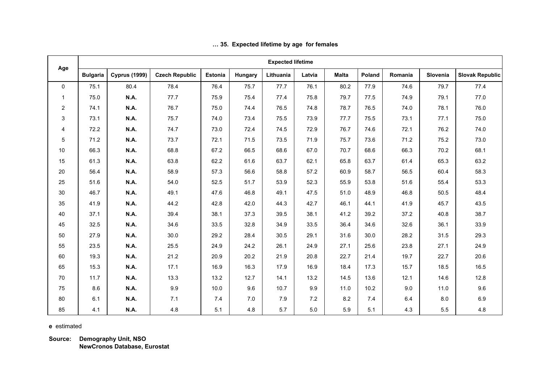|             |                 |                      |                       |                |         | <b>Expected lifetime</b> |        |              |        |         |          |                        |
|-------------|-----------------|----------------------|-----------------------|----------------|---------|--------------------------|--------|--------------|--------|---------|----------|------------------------|
| Age         | <b>Bulgaria</b> | <b>Cyprus (1999)</b> | <b>Czech Republic</b> | <b>Estonia</b> | Hungary | Lithuania                | Latvia | <b>Malta</b> | Poland | Romania | Slovenia | <b>Slovak Republic</b> |
| $\Omega$    | 75.1            | 80.4                 | 78.4                  | 76.4           | 75.7    | 77.7                     | 76.1   | 80.2         | 77.9   | 74.6    | 79.7     | 77.4                   |
| $\mathbf 1$ | 75.0            | <b>N.A.</b>          | 77.7                  | 75.9           | 75.4    | 77.4                     | 75.8   | 79.7         | 77.5   | 74.9    | 79.1     | 77.0                   |
| 2           | 74.1            | <b>N.A.</b>          | 76.7                  | 75.0           | 74.4    | 76.5                     | 74.8   | 78.7         | 76.5   | 74.0    | 78.1     | 76.0                   |
| 3           | 73.1            | <b>N.A.</b>          | 75.7                  | 74.0           | 73.4    | 75.5                     | 73.9   | 77.7         | 75.5   | 73.1    | 77.1     | 75.0                   |
| 4           | 72.2            | <b>N.A.</b>          | 74.7                  | 73.0           | 72.4    | 74.5                     | 72.9   | 76.7         | 74.6   | 72.1    | 76.2     | 74.0                   |
| 5           | 71.2            | <b>N.A.</b>          | 73.7                  | 72.1           | 71.5    | 73.5                     | 71.9   | 75.7         | 73.6   | 71.2    | 75.2     | 73.0                   |
| 10          | 66.3            | <b>N.A.</b>          | 68.8                  | 67.2           | 66.5    | 68.6                     | 67.0   | 70.7         | 68.6   | 66.3    | 70.2     | 68.1                   |
| 15          | 61.3            | <b>N.A.</b>          | 63.8                  | 62.2           | 61.6    | 63.7                     | 62.1   | 65.8         | 63.7   | 61.4    | 65.3     | 63.2                   |
| 20          | 56.4            | <b>N.A.</b>          | 58.9                  | 57.3           | 56.6    | 58.8                     | 57.2   | 60.9         | 58.7   | 56.5    | 60.4     | 58.3                   |
| 25          | 51.6            | <b>N.A.</b>          | 54.0                  | 52.5           | 51.7    | 53.9                     | 52.3   | 55.9         | 53.8   | 51.6    | 55.4     | 53.3                   |
| 30          | 46.7            | <b>N.A.</b>          | 49.1                  | 47.6           | 46.8    | 49.1                     | 47.5   | 51.0         | 48.9   | 46.8    | 50.5     | 48.4                   |
| 35          | 41.9            | <b>N.A.</b>          | 44.2                  | 42.8           | 42.0    | 44.3                     | 42.7   | 46.1         | 44.1   | 41.9    | 45.7     | 43.5                   |
| 40          | 37.1            | <b>N.A.</b>          | 39.4                  | 38.1           | 37.3    | 39.5                     | 38.1   | 41.2         | 39.2   | 37.2    | 40.8     | 38.7                   |
| 45          | 32.5            | <b>N.A.</b>          | 34.6                  | 33.5           | 32.8    | 34.9                     | 33.5   | 36.4         | 34.6   | 32.6    | 36.1     | 33.9                   |
| 50          | 27.9            | <b>N.A.</b>          | 30.0                  | 29.2           | 28.4    | 30.5                     | 29.1   | 31.6         | 30.0   | 28.2    | 31.5     | 29.3                   |
| 55          | 23.5            | <b>N.A.</b>          | 25.5                  | 24.9           | 24.2    | 26.1                     | 24.9   | 27.1         | 25.6   | 23.8    | 27.1     | 24.9                   |
| 60          | 19.3            | <b>N.A.</b>          | 21.2                  | 20.9           | 20.2    | 21.9                     | 20.8   | 22.7         | 21.4   | 19.7    | 22.7     | 20.6                   |
| 65          | 15.3            | <b>N.A.</b>          | 17.1                  | 16.9           | 16.3    | 17.9                     | 16.9   | 18.4         | 17.3   | 15.7    | 18.5     | 16.5                   |
| 70          | 11.7            | <b>N.A.</b>          | 13.3                  | 13.2           | 12.7    | 14.1                     | 13.2   | 14.5         | 13.6   | 12.1    | 14.6     | 12.8                   |
| 75          | 8.6             | <b>N.A.</b>          | 9.9                   | 10.0           | 9.6     | 10.7                     | 9.9    | 11.0         | 10.2   | 9.0     | 11.0     | 9.6                    |
| 80          | 6.1             | <b>N.A.</b>          | 7.1                   | 7.4            | 7.0     | 7.9                      | 7.2    | 8.2          | 7.4    | 6.4     | 8.0      | 6.9                    |
| 85          | 4.1             | <b>N.A.</b>          | 4.8                   | 5.1            | 4.8     | 5.7                      | 5.0    | 5.9          | 5.1    | 4.3     | 5.5      | 4.8                    |

## **… 35. Expected lifetime by age for females**

**e** estimated

**Source: Demography Unit, NSO NewCronos Database, Eurostat**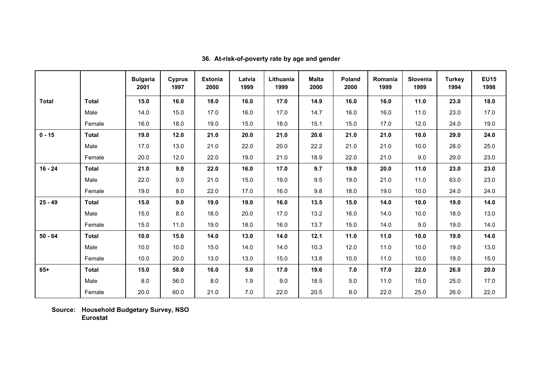|              |              | <b>Bulgaria</b><br>2001 | <b>Cyprus</b><br>1997 | <b>Estonia</b><br>2000 | Latvia<br>1999 | Lithuania<br>1999 | <b>Malta</b><br>2000 | Poland<br>2000 | Romania<br>1999 | Slovenia<br>1999 | <b>Turkey</b><br>1994 | <b>EU15</b><br>1998 |
|--------------|--------------|-------------------------|-----------------------|------------------------|----------------|-------------------|----------------------|----------------|-----------------|------------------|-----------------------|---------------------|
| <b>Total</b> | <b>Total</b> | 15.0                    | 16.0                  | 18.0                   | 16.0           | 17.0              | 14.9                 | 16.0           | 16.0            | 11.0             | 23.0                  | 18.0                |
|              | Male         | 14.0                    | 15.0                  | 17.0                   | 16.0           | 17.0              | 14.7                 | 16.0           | 16.0            | 11.0             | 23.0                  | 17.0                |
|              | Female       | 16.0                    | 18.0                  | 19.0                   | 15.0           | 18.0              | 15.1                 | 15.0           | 17.0            | 12.0             | 24.0                  | 19.0                |
| $0 - 15$     | <b>Total</b> | 19.0                    | 12.0                  | 21.0                   | 20.0           | 21.0              | 20.6                 | 21.0           | 21.0            | 10.0             | 29.0                  | 24.0                |
|              | Male         | 17.0                    | 13.0                  | 21.0                   | 22.0           | 20.0              | 22.2                 | 21.0           | 21.0            | 10.0             | 28.0                  | 25.0                |
|              | Female       | 20.0                    | 12.0                  | 22.0                   | 19.0           | 21.0              | 18.9                 | 22.0           | 21.0            | 9.0              | 29.0                  | 23.0                |
| $16 - 24$    | <b>Total</b> | 21.0                    | 9.0                   | 22.0                   | 16.0           | 17.0              | 9.7                  | 19.0           | 20.0            | 11.0             | 23.0                  | 23.0                |
|              | Male         | 22.0                    | 9.0                   | 21.0                   | 15.0           | 19.0              | 9.5                  | 19.0           | 21.0            | 11.0             | 63.0                  | 23.0                |
|              | Female       | 19.0                    | 8.0                   | 22.0                   | 17.0           | 16.0              | 9.8                  | 18.0           | 19.0            | 10.0             | 24.0                  | 24.0                |
| $25 - 49$    | <b>Total</b> | 15.0                    | 9.0                   | 19.0                   | 19.0           | 16.0              | 13.5                 | 15.0           | 14.0            | 10.0             | 19.0                  | 14.0                |
|              | Male         | 15.0                    | 8.0                   | 18.0                   | 20.0           | 17.0              | 13.2                 | 16.0           | 14.0            | 10.0             | 18.0                  | 13.0                |
|              | Female       | 15.0                    | 11.0                  | 19.0                   | 18.0           | 16.0              | 13.7                 | 15.0           | 14.0            | 9.0              | 19.0                  | 14.0                |
| $50 - 64$    | <b>Total</b> | 10.0                    | 15.0                  | 14.0                   | 13.0           | 14.0              | 12.1                 | 11.0           | 11.0            | 10.0             | 19.0                  | 14.0                |
|              | Male         | 10.0                    | 10.0                  | 15.0                   | 14.0           | 14.0              | 10.3                 | 12.0           | 11.0            | 10.0             | 19.0                  | 13.0                |
|              | Female       | 10.0                    | 20.0                  | 13.0                   | 13.0           | 15.0              | 13.8                 | 10.0           | 11.0            | 10.0             | 19.0                  | 15.0                |
| $65+$        | <b>Total</b> | 15.0                    | 58.0                  | 16.0                   | 5.0            | 17.0              | 19.6                 | 7.0            | 17.0            | 22.0             | 26.0                  | 20.0                |
|              | Male         | 8.0                     | 56.0                  | 8.0                    | 1.9            | 9.0               | 18.5                 | 5.0            | 11.0            | 15.0             | 25.0                  | 17.0                |
|              | Female       | 20.0                    | 60.0                  | 21.0                   | 7.0            | 22.0              | 20.5                 | 8.0            | 22.0            | 25.0             | 26.0                  | 22.0                |

**36. At-risk-of-poverty rate by age and gender**

**Source: Household Budgetary Survey, NSO Eurostat**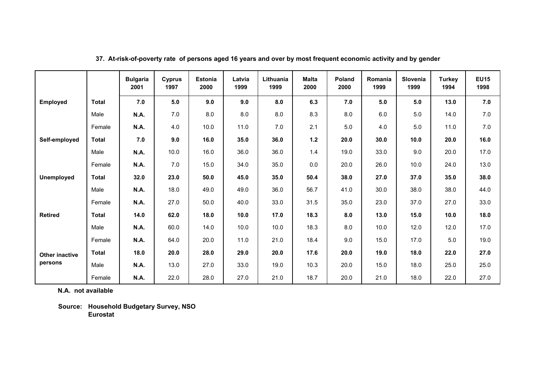|                       |              | <b>Bulgaria</b><br>2001 | Cyprus<br>1997 | <b>Estonia</b><br>2000 | Latvia<br>1999 | Lithuania<br>1999 | <b>Malta</b><br>2000 | <b>Poland</b><br>2000 | Romania<br>1999 | <b>Slovenia</b><br>1999 | <b>Turkey</b><br>1994 | <b>EU15</b><br>1998 |
|-----------------------|--------------|-------------------------|----------------|------------------------|----------------|-------------------|----------------------|-----------------------|-----------------|-------------------------|-----------------------|---------------------|
| <b>Employed</b>       | <b>Total</b> | 7.0                     | 5.0            | 9.0                    | 9.0            | 8.0               | 6.3                  | 7.0                   | 5.0             | 5.0                     | 13.0                  | 7.0                 |
|                       | Male         | <b>N.A.</b>             | 7.0            | 8.0                    | 8.0            | 8.0               | 8.3                  | 8.0                   | 6.0             | 5.0                     | 14.0                  | 7.0                 |
|                       | Female       | <b>N.A.</b>             | 4.0            | 10.0                   | 11.0           | 7.0               | 2.1                  | 5.0                   | 4.0             | 5.0                     | 11.0                  | 7.0                 |
| Self-employed         | <b>Total</b> | 7.0                     | 9.0            | 16.0                   | 35.0           | 36.0              | $1.2$                | 20.0                  | 30.0            | 10.0                    | 20.0                  | 16.0                |
|                       | Male         | <b>N.A.</b>             | 10.0           | 16.0                   | 36.0           | 36.0              | 1.4                  | 19.0                  | 33.0            | 9.0                     | 20.0                  | 17.0                |
|                       | Female       | <b>N.A.</b>             | 7.0            | 15.0                   | 34.0           | 35.0              | 0.0                  | 20.0                  | 26.0            | 10.0                    | 24.0                  | 13.0                |
| <b>Unemployed</b>     | <b>Total</b> | 32.0                    | 23.0           | 50.0                   | 45.0           | 35.0              | 50.4                 | 38.0                  | 27.0            | 37.0                    | 35.0                  | 38.0                |
|                       | Male         | <b>N.A.</b>             | 18.0           | 49.0                   | 49.0           | 36.0              | 56.7                 | 41.0                  | 30.0            | 38.0                    | 38.0                  | 44.0                |
|                       | Female       | <b>N.A.</b>             | 27.0           | 50.0                   | 40.0           | 33.0              | 31.5                 | 35.0                  | 23.0            | 37.0                    | 27.0                  | 33.0                |
| <b>Retired</b>        | <b>Total</b> | 14.0                    | 62.0           | 18.0                   | 10.0           | 17.0              | 18.3                 | 8.0                   | 13.0            | 15.0                    | 10.0                  | 18.0                |
|                       | Male         | <b>N.A.</b>             | 60.0           | 14.0                   | 10.0           | 10.0              | 18.3                 | 8.0                   | 10.0            | 12.0                    | 12.0                  | 17.0                |
|                       | Female       | <b>N.A.</b>             | 64.0           | 20.0                   | 11.0           | 21.0              | 18.4                 | 9.0                   | 15.0            | 17.0                    | 5.0                   | 19.0                |
| <b>Other inactive</b> | <b>Total</b> | 18.0                    | 20.0           | 28.0                   | 29.0           | 20.0              | 17.6                 | 20.0                  | 19.0            | 18.0                    | 22.0                  | 27.0                |
| persons               | Male         | <b>N.A.</b>             | 13.0           | 27.0                   | 33.0           | 19.0              | 10.3                 | 20.0                  | 15.0            | 18.0                    | 25.0                  | 25.0                |
|                       | Female       | <b>N.A.</b>             | 22.0           | 28.0                   | 27.0           | 21.0              | 18.7                 | 20.0                  | 21.0            | 18.0                    | 22.0                  | 27.0                |

**37. At-risk-of-poverty rate of persons aged 16 years and over by most frequent economic activity and by gender**

 **N.A. not available**

 **Source: Household Budgetary Survey, NSO Eurostat**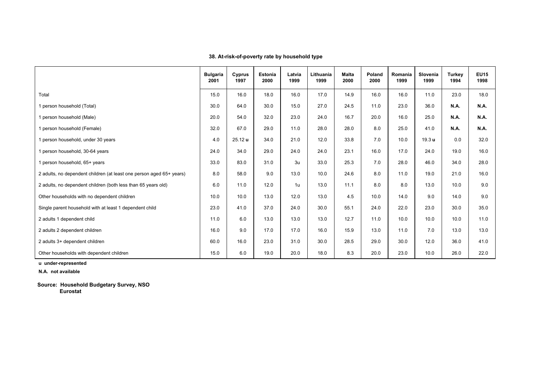|                                                                      | <b>Bulgaria</b><br>2001 | Cyprus<br>1997     | Estonia<br>2000 | Latvia<br>1999 | Lithuania<br>1999 | <b>Malta</b><br>2000 | Poland<br>2000 | Romania<br>1999 | Slovenia<br>1999  | <b>Turkey</b><br>1994 | <b>EU15</b><br>1998 |
|----------------------------------------------------------------------|-------------------------|--------------------|-----------------|----------------|-------------------|----------------------|----------------|-----------------|-------------------|-----------------------|---------------------|
| Total                                                                | 15.0                    | 16.0               | 18.0            | 16.0           | 17.0              | 14.9                 | 16.0           | 16.0            | 11.0              | 23.0                  | 18.0                |
| 1 person household (Total)                                           | 30.0                    | 64.0               | 30.0            | 15.0           | 27.0              | 24.5                 | 11.0           | 23.0            | 36.0              | <b>N.A.</b>           | <b>N.A.</b>         |
| 1 person household (Male)                                            | 20.0                    | 54.0               | 32.0            | 23.0           | 24.0              | 16.7                 | 20.0           | 16.0            | 25.0              | N.A.                  | <b>N.A.</b>         |
| I person household (Female)                                          | 32.0                    | 67.0               | 29.0            | 11.0           | 28.0              | 28.0                 | 8.0            | 25.0            | 41.0              | N.A.                  | N.A.                |
| 1 person household, under 30 years                                   | 4.0                     | 25.12 <sub>u</sub> | 34.0            | 21.0           | 12.0              | 33.8                 | 7.0            | 10.0            | 19.3 <sub>u</sub> | 0.0                   | 32.0                |
| 1 person household, 30-64 years                                      | 24.0                    | 34.0               | 29.0            | 24.0           | 24.0              | 23.1                 | 16.0           | 17.0            | 24.0              | 19.0                  | 16.0                |
| 1 person household, 65+ years                                        | 33.0                    | 83.0               | 31.0            | 3 <sub>u</sub> | 33.0              | 25.3                 | 7.0            | 28.0            | 46.0              | 34.0                  | 28.0                |
| 2 adults, no dependent children (at least one person aged 65+ years) | 8.0                     | 58.0               | 9.0             | 13.0           | 10.0              | 24.6                 | 8.0            | 11.0            | 19.0              | 21.0                  | 16.0                |
| 2 adults, no dependent children (both less than 65 years old)        | 6.0                     | 11.0               | 12.0            | 1u             | 13.0              | 11.1                 | 8.0            | 8.0             | 13.0              | 10.0                  | 9.0                 |
| Other households with no dependent children                          | 10.0                    | 10.0               | 13.0            | 12.0           | 13.0              | 4.5                  | 10.0           | 14.0            | 9.0               | 14.0                  | 9.0                 |
| Single parent household with at least 1 dependent child              | 23.0                    | 41.0               | 37.0            | 24.0           | 30.0              | 55.1                 | 24.0           | 22.0            | 23.0              | 30.0                  | 35.0                |
| 2 adults 1 dependent child                                           | 11.0                    | 6.0                | 13.0            | 13.0           | 13.0              | 12.7                 | 11.0           | 10.0            | 10.0              | 10.0                  | 11.0                |
| 2 adults 2 dependent children                                        | 16.0                    | 9.0                | 17.0            | 17.0           | 16.0              | 15.9                 | 13.0           | 11.0            | 7.0               | 13.0                  | 13.0                |
| 2 adults 3+ dependent children                                       | 60.0                    | 16.0               | 23.0            | 31.0           | 30.0              | 28.5                 | 29.0           | 30.0            | 12.0              | 36.0                  | 41.0                |
| Other households with dependent children                             | 15.0                    | 6.0                | 19.0            | 20.0           | 18.0              | 8.3                  | 20.0           | 23.0            | 10.0              | 26.0                  | 22.0                |

**38. At-risk-of-poverty rate by household type**

 **u under-represented**

 **N.A. not available**

 **Source: Household Budgetary Survey, NSO Eurostat**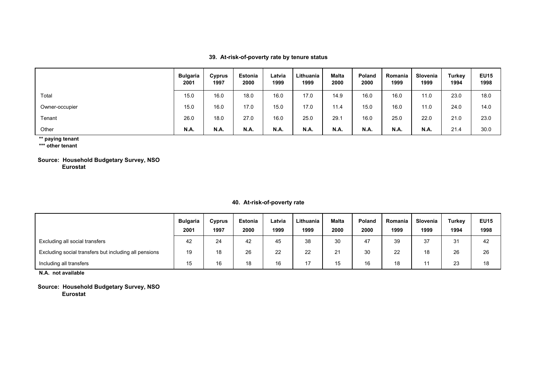**39. At-risk-of-poverty rate by tenure status**

|                | Bulgaria<br>2001 | Cyprus<br>1997 | Estonia<br>2000 | Latvia<br>1999 | Lithuania<br>1999 | <b>Malta</b><br>2000 | Poland<br>2000 | Romania<br>1999 | Slovenia<br>1999 | Turkey<br>1994 | <b>EU15</b><br>1998 |
|----------------|------------------|----------------|-----------------|----------------|-------------------|----------------------|----------------|-----------------|------------------|----------------|---------------------|
| Total          | 15.0             | 16.0           | 18.0            | 16.0           | 17.0              | 14.9                 | 16.0           | 16.0            | 11.0             | 23.0           | 18.0                |
| Owner-occupier | 15.0             | 16.0           | 17.0            | 15.0           | 17.0              | 11.4                 | 15.0           | 16.0            | 11.0             | 24.0           | 14.0                |
| Tenant         | 26.0             | 18.0           | 27.0            | 16.0           | 25.0              | 29.1                 | 16.0           | 25.0            | 22.0             | 21.0           | 23.0                |
| Other          | N.A.             | N.A.           | <b>N.A.</b>     | <b>N.A.</b>    | N.A.              | <b>N.A.</b>          | N.A.           | <b>N.A.</b>     | N.A.             | 21.4           | 30.0                |

 **\*\* paying tenant**

 **\*\*\* other tenant**

 **Source: Household Budgetary Survey, NSO Eurostat**

## **40. At-risk-of-poverty rate**

|                                                       | <b>Bulgaria</b><br>2001 | Cyprus<br>1997 | <b>Estonia</b><br>2000 | Latvia<br>1999 | Lithuania<br>1999 | Malta<br>2000 | Poland<br>2000 | Romania<br>1999 | Slovenia<br>1999 | Turkey<br>1994 | <b>EU15</b><br>1998 |
|-------------------------------------------------------|-------------------------|----------------|------------------------|----------------|-------------------|---------------|----------------|-----------------|------------------|----------------|---------------------|
| Excluding all social transfers                        | 42                      | 24             | 42                     | 45             | 38                | 30            | 47             | 39              | 37               | 31             | 42                  |
| Excluding social transfers but including all pensions | 19                      | 18             | 26                     | 22             | 22                | 21            | 30             | 22              | 18               | 26             | 26                  |
| Including all transfers                               | 15                      | 16             | 18                     | 16             | 17                | 15            | 16             | 18              |                  | 23             | 18                  |

 **N.A. not available**

 **Source: Household Budgetary Survey, NSO Eurostat**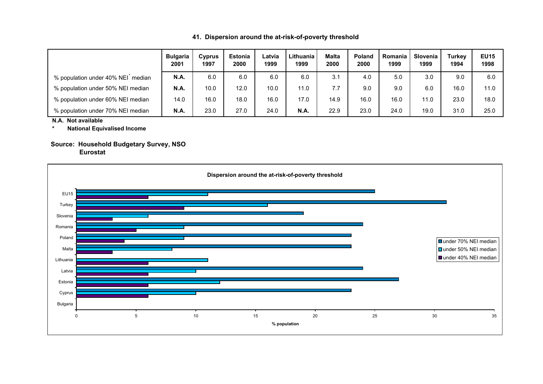|  | 41. Dispersion around the at-risk-of-poverty threshold |  |  |  |  |
|--|--------------------------------------------------------|--|--|--|--|
|--|--------------------------------------------------------|--|--|--|--|

|                                                | <b>Bulgaria</b><br>2001 | Cyprus<br>1997 | <b>Estonia</b><br>2000 | Latvia<br>1999 | Lithuania<br>1999 | <b>Malta</b><br>2000 | <b>Poland</b><br>2000 | Romania<br>1999 | Slovenia<br>1999 | <b>Turkev</b><br>1994 | <b>EU15</b><br>1998 |
|------------------------------------------------|-------------------------|----------------|------------------------|----------------|-------------------|----------------------|-----------------------|-----------------|------------------|-----------------------|---------------------|
| % population under 40% NEI <sup>n</sup> median | <b>N.A.</b>             | 6.0            | 6.0                    | 6.0            | 6.0               | 3.1                  | 4.0                   | 5.0             | 3.0              | 9.0                   | 6.0                 |
| % population under 50% NEI median              | N.A.                    | 10.0           | 12.0                   | 10.0           | 11.0              | 7.7                  | 9.0                   | 9.0             | 6.0              | 16.0                  | 11.0                |
| % population under 60% NEI median              | 14.0                    | 16.0           | 18.0                   | 16.0           | 17.0              | 14.9                 | 16.0                  | 16.0            | 11.0             | 23.0                  | 18.0                |
| % population under 70% NEI median              | <b>N.A.</b>             | 23.0           | 27.0                   | 24.0           | <b>N.A.</b>       | 22.9                 | 23.0                  | 24.0            | 19.0             | 31.0                  | 25.0                |

 **N.A. Not available**

 **\* National Equivalised Income**

# **Source: Household Budgetary Survey, NSO**

 **Eurostat**

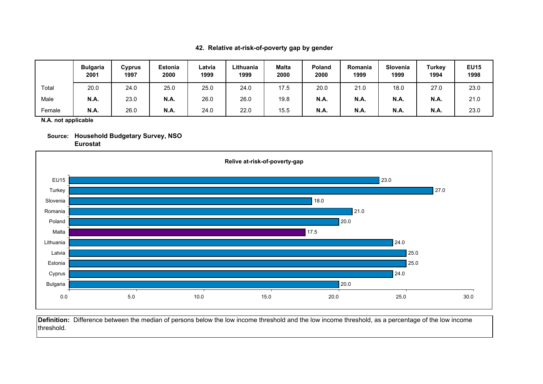## **42. Relative at-risk-of-poverty gap by gender**

|        | <b>Bulgaria</b><br>2001 | Cyprus<br>1997 | <b>Estonia</b><br>2000 | Latvia<br>1999 | Lithuania<br>1999 | <b>Malta</b><br>2000 | <b>Poland</b><br>2000 | Romania<br>1999 | <b>Slovenia</b><br>1999 | <b>Turkey</b><br>1994 | <b>EU15</b><br>1998 |
|--------|-------------------------|----------------|------------------------|----------------|-------------------|----------------------|-----------------------|-----------------|-------------------------|-----------------------|---------------------|
| Total  | 20.0                    | 24.0           | 25.0                   | 25.0           | 24.0              | 17.5                 | 20.0                  | 21.0            | 18.0                    | 27.0                  | 23.0                |
| Male   | <b>N.A.</b>             | 23.0           | <b>N.A.</b>            | 26.0           | 26.0              | 19.8                 | <b>N.A.</b>           | <b>N.A.</b>     | <b>N.A.</b>             | <b>N.A.</b>           | 21.0                |
| Female | <b>N.A.</b>             | 26.0           | <b>N.A.</b>            | 24.0           | 22.0              | 15.5                 | <b>N.A.</b>           | <b>N.A.</b>     | <b>N.A.</b>             | <b>N.A.</b>           | 23.0                |

 **N.A. not applicable**





**Definition:** Difference between the median of persons below the low income threshold and the low income threshold, as a percentage of the low income threshold.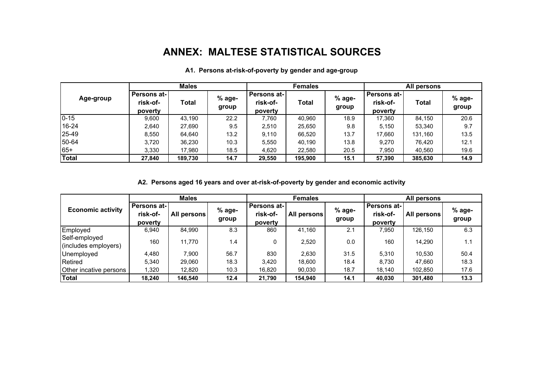# **ANNEX: MALTESE STATISTICAL SOURCES**

|              | <b>Males</b>                       |         |                   | <b>Females</b>                     |         |                   | All persons                        |              |                   |
|--------------|------------------------------------|---------|-------------------|------------------------------------|---------|-------------------|------------------------------------|--------------|-------------------|
| Age-group    | Persons at-<br>risk-of-<br>poverty | Total   | $%$ age-<br>group | Persons at-<br>risk-of-<br>poverty | Total   | $%$ age-<br>group | Persons at-<br>risk-of-<br>poverty | <b>Total</b> | $%$ age-<br>group |
| $0 - 15$     | 9.600                              | 43.190  | 22.2              | 7.760                              | 40,960  | 18.9              | 17,360                             | 84,150       | 20.6              |
| 16-24        | 2,640                              | 27,690  | 9.5               | 2,510                              | 25,650  | 9.8               | 5,150                              | 53,340       | 9.7               |
| 25-49        | 8,550                              | 64,640  | 13.2              | 9.110                              | 66,520  | 13.7              | 17.660                             | 131,160      | 13.5              |
| 50-64        | 3.720                              | 36,230  | 10.3              | 5,550                              | 40,190  | 13.8              | 9,270                              | 76,420       | 12.1              |
| 65+          | 3,330                              | 17,980  | 18.5              | 4,620                              | 22,580  | 20.5              | 7,950                              | 40,560       | 19.6              |
| <b>Total</b> | 27,840                             | 189,730 | 14.7              | 29,550                             | 195,900 | 15.1              | 57,390                             | 385,630      | 14.9              |

## **A1. Persons at-risk-of-poverty by gender and age-group**

**A2. Persons aged 16 years and over at-risk-of-poverty by gender and economic activity**

|                                       | <b>Males</b>                               |             |                   | <b>Females</b>                             |              |                   | All persons                        |              |                   |
|---------------------------------------|--------------------------------------------|-------------|-------------------|--------------------------------------------|--------------|-------------------|------------------------------------|--------------|-------------------|
| <b>Economic activity</b>              | <b>Persons at-1</b><br>risk-of-<br>poverty | All persons | $%$ age-<br>group | <b>Persons at-1</b><br>risk-of-<br>poverty | All persons! | $%$ age-<br>group | Persons at-<br>risk-of-<br>poverty | All persons! | $%$ age-<br>group |
| Employed                              | 6,940                                      | 84,990      | 8.3               | 860                                        | 41,160       | 2.1               | 7,950                              | 126,150      | 6.3               |
| Self-employed<br>(includes employers) | 160                                        | 11,770      | 1.4               | 0                                          | 2,520        | 0.0               | 160                                | 14,290       | 1.1               |
| Unemployed                            | 4,480                                      | 7.900       | 56.7              | 830                                        | 2,630        | 31.5              | 5,310                              | 10,530       | 50.4              |
| Retired                               | 5,340                                      | 29,060      | 18.3              | 3,420                                      | 18,600       | 18.4              | 8.730                              | 47,660       | 18.3              |
| Other incative persons                | 1,320                                      | 12,820      | 10.3              | 16,820                                     | 90,030       | 18.7              | 18,140                             | 102,850      | 17.6              |
| Total                                 | 18.240                                     | 146.540     | 12.4              | 21,790                                     | 154,940      | 14.1              | 40,030                             | 301,480      | 13.3              |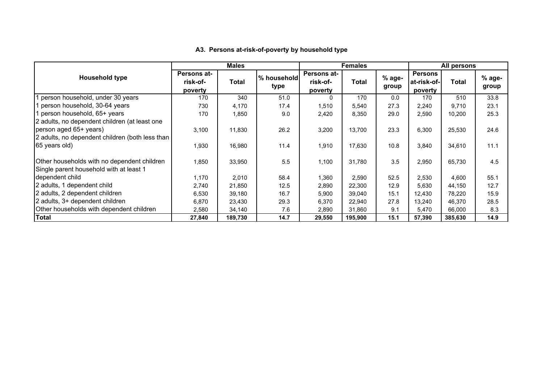|                                                                                        | Males                                     |         |                     | <b>Females</b>                            |              |                   | All persons                              |         |                   |
|----------------------------------------------------------------------------------------|-------------------------------------------|---------|---------------------|-------------------------------------------|--------------|-------------------|------------------------------------------|---------|-------------------|
| <b>Household type</b>                                                                  | <b>Persons at-</b><br>risk-of-<br>poverty | Total   | % household<br>type | <b>Persons at-</b><br>risk-of-<br>poverty | <b>Total</b> | $%$ age-<br>group | <b>Persons</b><br>at-risk-of-<br>poverty | Total   | $%$ age-<br>group |
| person household, under 30 years                                                       | 170                                       | 340     | 51.0                | $\Omega$                                  | 170          | 0.0               | 170                                      | 510     | 33.8              |
| 1 person household, 30-64 years                                                        | 730                                       | 4,170   | 17.4                | 1,510                                     | 5,540        | 27.3              | 2,240                                    | 9.710   | 23.1              |
| 1 person household, 65+ years                                                          | 170                                       | 1,850   | 9.0                 | 2,420                                     | 8,350        | 29.0              | 2,590                                    | 10,200  | 25.3              |
| 2 adults, no dependent children (at least one                                          |                                           |         |                     |                                           |              |                   |                                          |         |                   |
| person aged 65+ years)                                                                 | 3,100                                     | 11,830  | 26.2                | 3,200                                     | 13,700       | 23.3              | 6,300                                    | 25,530  | 24.6              |
| 2 adults, no dependent children (both less than                                        |                                           |         |                     |                                           |              |                   |                                          |         |                   |
| 65 years old)                                                                          | 1,930                                     | 16,980  | 11.4                | 1,910                                     | 17,630       | 10.8              | 3,840                                    | 34,610  | 11.1              |
| Other households with no dependent children<br>Single parent household with at least 1 | 1,850                                     | 33,950  | 5.5                 | 1,100                                     | 31,780       | 3.5               | 2,950                                    | 65,730  | 4.5               |
| dependent child                                                                        | 1,170                                     | 2,010   | 58.4                | 1,360                                     | 2,590        | 52.5              | 2,530                                    | 4,600   | 55.1              |
| 2 adults, 1 dependent child                                                            | 2,740                                     | 21,850  | 12.5                | 2,890                                     | 22,300       | 12.9              | 5,630                                    | 44,150  | 12.7              |
| 2 adults, 2 dependent children                                                         | 6,530                                     | 39,180  | 16.7                | 5,900                                     | 39,040       | 15.1              | 12,430                                   | 78,220  | 15.9              |
| 2 adults, 3+ dependent children                                                        | 6,870                                     | 23,430  | 29.3                | 6,370                                     | 22,940       | 27.8              | 13,240                                   | 46,370  | 28.5              |
| Other households with dependent children                                               | 2,580                                     | 34,140  | 7.6                 | 2,890                                     | 31,860       | 9.1               | 5,470                                    | 66,000  | 8.3               |
| <b>Total</b>                                                                           | 27,840                                    | 189,730 | 14.7                | 29,550                                    | 195,900      | 15.1              | 57,390                                   | 385,630 | 14.9              |

## **A3. Persons at-risk-of-poverty by household type**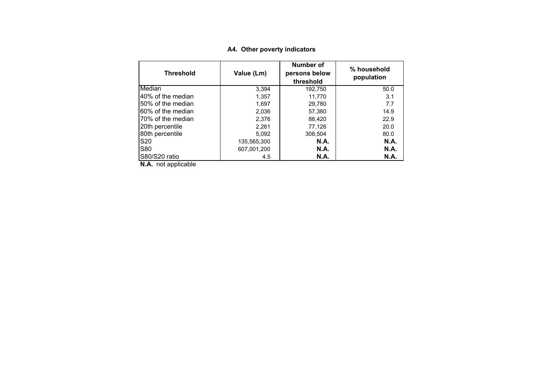| Threshold         | Value (Lm)  | Number of<br>persons below<br>threshold | % household<br>population |  |
|-------------------|-------------|-----------------------------------------|---------------------------|--|
| Median            | 3,394       | 192,750                                 | 50.0                      |  |
| 40% of the median | 1,357       | 11.770                                  | 3.1                       |  |
| 50% of the median | 1.697       | 29.780                                  | 7.7                       |  |
| 60% of the median | 2.036       | 57.380                                  | 14.9                      |  |
| 70% of the median | 2.376       | 88.420                                  | 22.9                      |  |
| 20th percentile   | 2.261       | 77.126                                  | 20.0                      |  |
| 80th percentile   | 5.092       | 308.504                                 | 80.0                      |  |
| S <sub>20</sub>   | 135,565,300 | <b>N.A.</b>                             | <b>N.A.</b>               |  |
| <b>S80</b>        | 607,001,200 | <b>N.A.</b>                             | <b>N.A.</b>               |  |
| S80/S20 ratio     | 4.5         | N.A.                                    | <b>N.A.</b>               |  |

## **A4. Other poverty indicators**

**N.A.** not applicable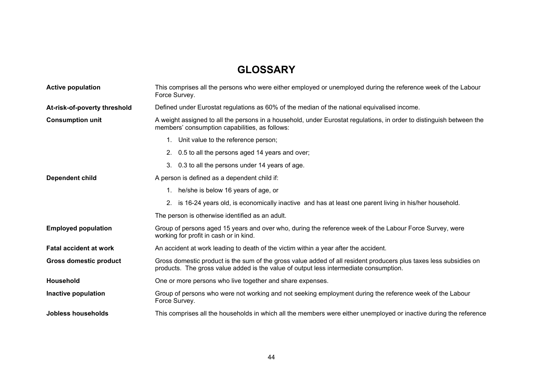# **GLOSSARY**

| <b>Active population</b>      | This comprises all the persons who were either employed or unemployed during the reference week of the Labour<br>Force Survey.                                                                             |  |  |  |  |
|-------------------------------|------------------------------------------------------------------------------------------------------------------------------------------------------------------------------------------------------------|--|--|--|--|
| At-risk-of-poverty threshold  | Defined under Eurostat regulations as 60% of the median of the national equivalised income.                                                                                                                |  |  |  |  |
| <b>Consumption unit</b>       | A weight assigned to all the persons in a household, under Eurostat regulations, in order to distinguish between the<br>members' consumption capabilities, as follows:                                     |  |  |  |  |
|                               | 1. Unit value to the reference person;                                                                                                                                                                     |  |  |  |  |
|                               | 2. 0.5 to all the persons aged 14 years and over;                                                                                                                                                          |  |  |  |  |
|                               | 3. 0.3 to all the persons under 14 years of age.                                                                                                                                                           |  |  |  |  |
| Dependent child               | A person is defined as a dependent child if:                                                                                                                                                               |  |  |  |  |
|                               | 1. he/she is below 16 years of age, or                                                                                                                                                                     |  |  |  |  |
|                               | is 16-24 years old, is economically inactive and has at least one parent living in his/her household.<br>2.                                                                                                |  |  |  |  |
|                               | The person is otherwise identified as an adult.                                                                                                                                                            |  |  |  |  |
| <b>Employed population</b>    | Group of persons aged 15 years and over who, during the reference week of the Labour Force Survey, were<br>working for profit in cash or in kind.                                                          |  |  |  |  |
| <b>Fatal accident at work</b> | An accident at work leading to death of the victim within a year after the accident.                                                                                                                       |  |  |  |  |
| <b>Gross domestic product</b> | Gross domestic product is the sum of the gross value added of all resident producers plus taxes less subsidies on<br>products. The gross value added is the value of output less intermediate consumption. |  |  |  |  |
| <b>Household</b>              | One or more persons who live together and share expenses.                                                                                                                                                  |  |  |  |  |
| Inactive population           | Group of persons who were not working and not seeking employment during the reference week of the Labour<br>Force Survey.                                                                                  |  |  |  |  |
| Jobless households            | This comprises all the households in which all the members were either unemployed or inactive during the reference                                                                                         |  |  |  |  |